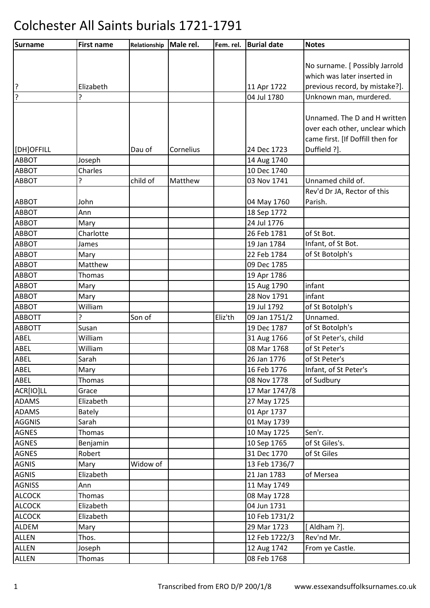| Surname       | <b>First name</b> | Relationship | Male rel. | Fem. rel. | <b>Burial date</b> | <b>Notes</b>                     |
|---------------|-------------------|--------------|-----------|-----------|--------------------|----------------------------------|
|               |                   |              |           |           |                    |                                  |
|               |                   |              |           |           |                    | No surname. [ Possibly Jarrold   |
|               |                   |              |           |           |                    | which was later inserted in      |
| ?             | Elizabeth         |              |           |           | 11 Apr 1722        | previous record, by mistake?].   |
| ?             | ς                 |              |           |           | 04 Jul 1780        | Unknown man, murdered.           |
|               |                   |              |           |           |                    |                                  |
|               |                   |              |           |           |                    | Unnamed. The D and H written     |
|               |                   |              |           |           |                    | over each other, unclear which   |
|               |                   |              |           |           |                    | came first. [If Doffill then for |
| [DH]OFFILL    |                   | Dau of       | Cornelius |           | 24 Dec 1723        | Duffield ?].                     |
| <b>ABBOT</b>  | Joseph            |              |           |           | 14 Aug 1740        |                                  |
| ABBOT         | Charles           |              |           |           | 10 Dec 1740        |                                  |
| <b>ABBOT</b>  | 5.                | child of     | Matthew   |           | 03 Nov 1741        | Unnamed child of.                |
|               |                   |              |           |           |                    | Rev'd Dr JA, Rector of this      |
| <b>ABBOT</b>  | John              |              |           |           | 04 May 1760        | Parish.                          |
| <b>ABBOT</b>  | Ann               |              |           |           | 18 Sep 1772        |                                  |
| <b>ABBOT</b>  | Mary              |              |           |           | 24 Jul 1776        |                                  |
| <b>ABBOT</b>  | Charlotte         |              |           |           | 26 Feb 1781        | of St Bot.                       |
| <b>ABBOT</b>  | James             |              |           |           | 19 Jan 1784        | Infant, of St Bot.               |
| <b>ABBOT</b>  | Mary              |              |           |           | 22 Feb 1784        | of St Botolph's                  |
| <b>ABBOT</b>  | Matthew           |              |           |           | 09 Dec 1785        |                                  |
| <b>ABBOT</b>  | <b>Thomas</b>     |              |           |           | 19 Apr 1786        |                                  |
| <b>ABBOT</b>  | Mary              |              |           |           | 15 Aug 1790        | infant                           |
| <b>ABBOT</b>  | Mary              |              |           |           | 28 Nov 1791        | infant                           |
| <b>ABBOT</b>  | William           |              |           |           | 19 Jul 1792        | of St Botolph's                  |
| <b>ABBOTT</b> | ŗ                 | Son of       |           | Eliz'th   | 09 Jan 1751/2      | Unnamed.                         |
| <b>ABBOTT</b> | Susan             |              |           |           | 19 Dec 1787        | of St Botolph's                  |
| ABEL          | William           |              |           |           | 31 Aug 1766        | of St Peter's, child             |
| ABEL          | William           |              |           |           | 08 Mar 1768        | of St Peter's                    |
| <b>ABEL</b>   | Sarah             |              |           |           | 26 Jan 1776        | of St Peter's                    |
| <b>ABEL</b>   | Mary              |              |           |           | 16 Feb 1776        | Infant, of St Peter's            |
| <b>ABEL</b>   | <b>Thomas</b>     |              |           |           | 08 Nov 1778        | of Sudbury                       |
| ACR[IO]LL     | Grace             |              |           |           | 17 Mar 1747/8      |                                  |
| <b>ADAMS</b>  | Elizabeth         |              |           |           | 27 May 1725        |                                  |
| <b>ADAMS</b>  | <b>Bately</b>     |              |           |           | 01 Apr 1737        |                                  |
| <b>AGGNIS</b> | Sarah             |              |           |           | 01 May 1739        |                                  |
| <b>AGNES</b>  | Thomas            |              |           |           | 10 May 1725        | Sen'r.                           |
| <b>AGNES</b>  | Benjamin          |              |           |           | 10 Sep 1765        | of St Giles's.                   |
| <b>AGNES</b>  | Robert            |              |           |           | 31 Dec 1770        | of St Giles                      |
| <b>AGNIS</b>  | Mary              | Widow of     |           |           | 13 Feb 1736/7      |                                  |
| <b>AGNIS</b>  | Elizabeth         |              |           |           | 21 Jan 1783        | of Mersea                        |
| <b>AGNISS</b> | Ann               |              |           |           | 11 May 1749        |                                  |
| <b>ALCOCK</b> | <b>Thomas</b>     |              |           |           | 08 May 1728        |                                  |
| <b>ALCOCK</b> | Elizabeth         |              |           |           | 04 Jun 1731        |                                  |
| <b>ALCOCK</b> | Elizabeth         |              |           |           | 10 Feb 1731/2      |                                  |
| ALDEM         | Mary              |              |           |           | 29 Mar 1723        | [Aldham ?].                      |
| <b>ALLEN</b>  | Thos.             |              |           |           | 12 Feb 1722/3      | Rev'nd Mr.                       |
| ALLEN         | Joseph            |              |           |           | 12 Aug 1742        | From ye Castle.                  |
| <b>ALLEN</b>  | Thomas            |              |           |           | 08 Feb 1768        |                                  |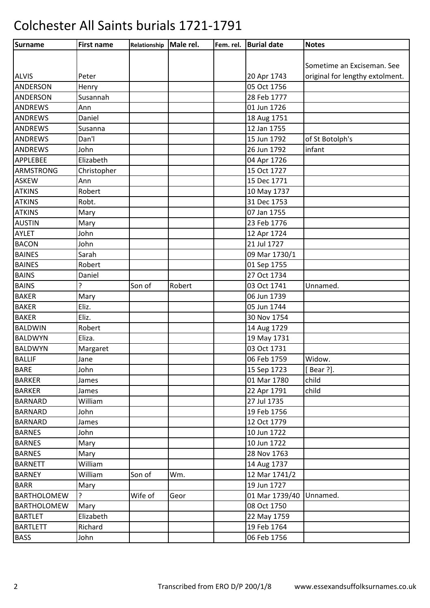| Surname            | <b>First name</b> | Relationship | Male rel. | Fem. rel. | <b>Burial date</b> | <b>Notes</b>                    |
|--------------------|-------------------|--------------|-----------|-----------|--------------------|---------------------------------|
|                    |                   |              |           |           |                    |                                 |
|                    |                   |              |           |           |                    | Sometime an Exciseman. See      |
| <b>ALVIS</b>       | Peter             |              |           |           | 20 Apr 1743        | original for lengthy extolment. |
| <b>ANDERSON</b>    | Henry             |              |           |           | 05 Oct 1756        |                                 |
| <b>ANDERSON</b>    | Susannah          |              |           |           | 28 Feb 1777        |                                 |
| <b>ANDREWS</b>     | Ann               |              |           |           | 01 Jun 1726        |                                 |
| <b>ANDREWS</b>     | Daniel            |              |           |           | 18 Aug 1751        |                                 |
| <b>ANDREWS</b>     | Susanna           |              |           |           | 12 Jan 1755        |                                 |
| <b>ANDREWS</b>     | Dan'l             |              |           |           | 15 Jun 1792        | of St Botolph's                 |
| <b>ANDREWS</b>     | John              |              |           |           | 26 Jun 1792        | infant                          |
| <b>APPLEBEE</b>    | Elizabeth         |              |           |           | 04 Apr 1726        |                                 |
| <b>ARMSTRONG</b>   | Christopher       |              |           |           | 15 Oct 1727        |                                 |
| <b>ASKEW</b>       | Ann               |              |           |           | 15 Dec 1771        |                                 |
| <b>ATKINS</b>      | Robert            |              |           |           | 10 May 1737        |                                 |
| <b>ATKINS</b>      | Robt.             |              |           |           | 31 Dec 1753        |                                 |
| <b>ATKINS</b>      | Mary              |              |           |           | 07 Jan 1755        |                                 |
| <b>AUSTIN</b>      | Mary              |              |           |           | 23 Feb 1776        |                                 |
| <b>AYLET</b>       | John              |              |           |           | 12 Apr 1724        |                                 |
| <b>BACON</b>       | John              |              |           |           | 21 Jul 1727        |                                 |
| <b>BAINES</b>      | Sarah             |              |           |           | 09 Mar 1730/1      |                                 |
| <b>BAINES</b>      | Robert            |              |           |           | 01 Sep 1755        |                                 |
| <b>BAINS</b>       | Daniel            |              |           |           | 27 Oct 1734        |                                 |
| <b>BAINS</b>       | ?                 | Son of       | Robert    |           | 03 Oct 1741        | Unnamed.                        |
| <b>BAKER</b>       | Mary              |              |           |           | 06 Jun 1739        |                                 |
| <b>BAKER</b>       | Eliz.             |              |           |           | 05 Jun 1744        |                                 |
| <b>BAKER</b>       | Eliz.             |              |           |           | 30 Nov 1754        |                                 |
| <b>BALDWIN</b>     | Robert            |              |           |           | 14 Aug 1729        |                                 |
| <b>BALDWYN</b>     | Eliza.            |              |           |           | 19 May 1731        |                                 |
| <b>BALDWYN</b>     | Margaret          |              |           |           | 03 Oct 1731        |                                 |
| <b>BALLIF</b>      | Jane              |              |           |           | 06 Feb 1759        | Widow.                          |
| <b>BARE</b>        | John              |              |           |           | 15 Sep 1723        | [Bear ?].                       |
| <b>BARKER</b>      | James             |              |           |           | 01 Mar 1780        | child                           |
| <b>BARKER</b>      | James             |              |           |           | 22 Apr 1791        | child                           |
| <b>BARNARD</b>     | William           |              |           |           | 27 Jul 1735        |                                 |
| <b>BARNARD</b>     | John              |              |           |           | 19 Feb 1756        |                                 |
| <b>BARNARD</b>     | James             |              |           |           | 12 Oct 1779        |                                 |
| <b>BARNES</b>      | John              |              |           |           | 10 Jun 1722        |                                 |
| <b>BARNES</b>      | Mary              |              |           |           | 10 Jun 1722        |                                 |
| <b>BARNES</b>      | Mary              |              |           |           | 28 Nov 1763        |                                 |
| <b>BARNETT</b>     | William           |              |           |           | 14 Aug 1737        |                                 |
| <b>BARNEY</b>      | William           | Son of       | Wm.       |           | 12 Mar 1741/2      |                                 |
| <b>BARR</b>        | Mary              |              |           |           | 19 Jun 1727        |                                 |
| <b>BARTHOLOMEW</b> | ?                 | Wife of      | Geor      |           | 01 Mar 1739/40     | Unnamed.                        |
| <b>BARTHOLOMEW</b> | Mary              |              |           |           | 08 Oct 1750        |                                 |
| <b>BARTLET</b>     | Elizabeth         |              |           |           | 22 May 1759        |                                 |
| <b>BARTLETT</b>    | Richard           |              |           |           | 19 Feb 1764        |                                 |
| <b>BASS</b>        | John              |              |           |           | 06 Feb 1756        |                                 |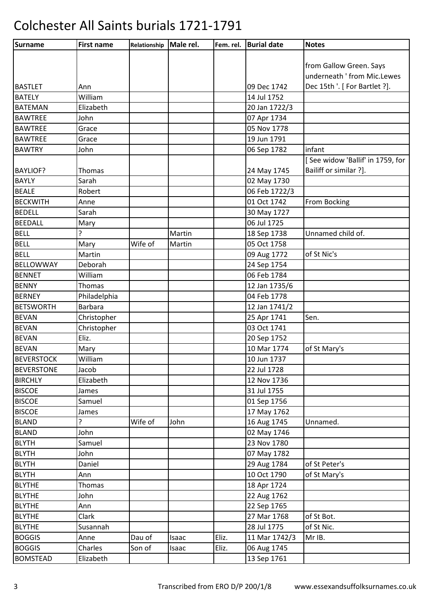| Surname           | <b>First name</b> | Relationship | Male rel. | Fem. rel. | <b>Burial date</b> | <b>Notes</b>                     |
|-------------------|-------------------|--------------|-----------|-----------|--------------------|----------------------------------|
|                   |                   |              |           |           |                    |                                  |
|                   |                   |              |           |           |                    | from Gallow Green. Says          |
|                   |                   |              |           |           |                    | underneath ' from Mic.Lewes      |
| <b>BASTLET</b>    | Ann               |              |           |           | 09 Dec 1742        | Dec 15th '. [ For Bartlet ?].    |
| <b>BATELY</b>     | William           |              |           |           | 14 Jul 1752        |                                  |
| <b>BATEMAN</b>    | Elizabeth         |              |           |           | 20 Jan 1722/3      |                                  |
| <b>BAWTREE</b>    | John              |              |           |           | 07 Apr 1734        |                                  |
| <b>BAWTREE</b>    | Grace             |              |           |           | 05 Nov 1778        |                                  |
| <b>BAWTREE</b>    | Grace             |              |           |           | 19 Jun 1791        |                                  |
| <b>BAWTRY</b>     | John              |              |           |           | 06 Sep 1782        | infant                           |
|                   |                   |              |           |           |                    | [See widow 'Ballif' in 1759, for |
| <b>BAYLIOF?</b>   | <b>Thomas</b>     |              |           |           | 24 May 1745        | Bailiff or similar ?].           |
| <b>BAYLY</b>      | Sarah             |              |           |           | 02 May 1730        |                                  |
| <b>BEALE</b>      | Robert            |              |           |           | 06 Feb 1722/3      |                                  |
| <b>BECKWITH</b>   | Anne              |              |           |           | 01 Oct 1742        | From Bocking                     |
| <b>BEDELL</b>     | Sarah             |              |           |           | 30 May 1727        |                                  |
| <b>BEEDALL</b>    | Mary              |              |           |           | 06 Jul 1725        |                                  |
| <b>BELL</b>       |                   |              | Martin    |           | 18 Sep 1738        | Unnamed child of.                |
| <b>BELL</b>       | Mary              | Wife of      | Martin    |           | 05 Oct 1758        |                                  |
| <b>BELL</b>       | Martin            |              |           |           | 09 Aug 1772        | of St Nic's                      |
| <b>BELLOWWAY</b>  | Deborah           |              |           |           | 24 Sep 1754        |                                  |
| <b>BENNET</b>     | William           |              |           |           | 06 Feb 1784        |                                  |
| <b>BENNY</b>      | <b>Thomas</b>     |              |           |           | 12 Jan 1735/6      |                                  |
| <b>BERNEY</b>     | Philadelphia      |              |           |           | 04 Feb 1778        |                                  |
| <b>BETSWORTH</b>  | <b>Barbara</b>    |              |           |           | 12 Jan 1741/2      |                                  |
| <b>BEVAN</b>      | Christopher       |              |           |           | 25 Apr 1741        | Sen.                             |
| <b>BEVAN</b>      | Christopher       |              |           |           | 03 Oct 1741        |                                  |
| <b>BEVAN</b>      | Eliz.             |              |           |           | 20 Sep 1752        |                                  |
| <b>BEVAN</b>      | Mary              |              |           |           | 10 Mar 1774        | of St Mary's                     |
| <b>BEVERSTOCK</b> | William           |              |           |           | 10 Jun 1737        |                                  |
| <b>BEVERSTONE</b> | Jacob             |              |           |           | 22 Jul 1728        |                                  |
| <b>BIRCHLY</b>    | Elizabeth         |              |           |           | 12 Nov 1736        |                                  |
| <b>BISCOE</b>     | James             |              |           |           | 31 Jul 1755        |                                  |
| <b>BISCOE</b>     | Samuel            |              |           |           | 01 Sep 1756        |                                  |
| <b>BISCOE</b>     | James             |              |           |           | 17 May 1762        |                                  |
| <b>BLAND</b>      | ς                 | Wife of      | John      |           | 16 Aug 1745        | Unnamed.                         |
| <b>BLAND</b>      | John              |              |           |           | 02 May 1746        |                                  |
| <b>BLYTH</b>      | Samuel            |              |           |           | 23 Nov 1780        |                                  |
| <b>BLYTH</b>      | John              |              |           |           | 07 May 1782        |                                  |
| <b>BLYTH</b>      | Daniel            |              |           |           | 29 Aug 1784        | of St Peter's                    |
| <b>BLYTH</b>      | Ann               |              |           |           | 10 Oct 1790        | of St Mary's                     |
| <b>BLYTHE</b>     | <b>Thomas</b>     |              |           |           | 18 Apr 1724        |                                  |
| <b>BLYTHE</b>     | John              |              |           |           | 22 Aug 1762        |                                  |
| <b>BLYTHE</b>     | Ann               |              |           |           | 22 Sep 1765        |                                  |
| <b>BLYTHE</b>     | Clark             |              |           |           | 27 Mar 1768        | of St Bot.                       |
| <b>BLYTHE</b>     | Susannah          |              |           |           | 28 Jul 1775        | of St Nic.                       |
| <b>BOGGIS</b>     | Anne              | Dau of       | Isaac     | Eliz.     | 11 Mar 1742/3      | Mr IB.                           |
| <b>BOGGIS</b>     | Charles           | Son of       | Isaac     | Eliz.     | 06 Aug 1745        |                                  |
| <b>BOMSTEAD</b>   | Elizabeth         |              |           |           | 13 Sep 1761        |                                  |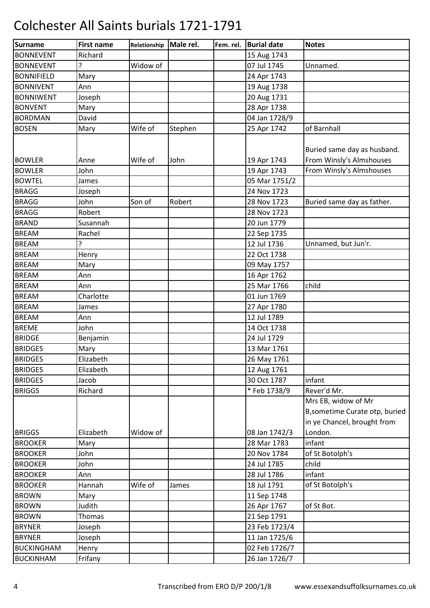| <b>Surname</b>    | <b>First name</b> | Relationship | Male rel. | Fem. rel. | <b>Burial date</b> | <b>Notes</b>                                                                         |
|-------------------|-------------------|--------------|-----------|-----------|--------------------|--------------------------------------------------------------------------------------|
| <b>BONNEVENT</b>  | Richard           |              |           |           | 15 Aug 1743        |                                                                                      |
| <b>BONNEVENT</b>  | ?                 | Widow of     |           |           | 07 Jul 1745        | Unnamed.                                                                             |
| <b>BONNIFIELD</b> | Mary              |              |           |           | 24 Apr 1743        |                                                                                      |
| <b>BONNIVENT</b>  | Ann               |              |           |           | 19 Aug 1738        |                                                                                      |
| <b>BONNIWENT</b>  | Joseph            |              |           |           | 20 Aug 1731        |                                                                                      |
| <b>BONVENT</b>    | Mary              |              |           |           | 28 Apr 1738        |                                                                                      |
| <b>BORDMAN</b>    | David             |              |           |           | 04 Jan 1728/9      |                                                                                      |
| <b>BOSEN</b>      | Mary              | Wife of      | Stephen   |           | 25 Apr 1742        | of Barnhall                                                                          |
| <b>BOWLER</b>     | Anne              | Wife of      | John      |           | 19 Apr 1743        | Buried same day as husband.<br>From Winsly's Almshouses                              |
| <b>BOWLER</b>     | John              |              |           |           | 19 Apr 1743        | From Winsly's Almshouses                                                             |
| <b>BOWTEL</b>     | James             |              |           |           | 05 Mar 1751/2      |                                                                                      |
| <b>BRAGG</b>      | Joseph            |              |           |           | 24 Nov 1723        |                                                                                      |
| <b>BRAGG</b>      | John              | Son of       | Robert    |           | 28 Nov 1723        | Buried same day as father.                                                           |
| <b>BRAGG</b>      | Robert            |              |           |           | 28 Nov 1723        |                                                                                      |
| <b>BRAND</b>      | Susannah          |              |           |           | 20 Jun 1779        |                                                                                      |
| <b>BREAM</b>      | Rachel            |              |           |           | 22 Sep 1735        |                                                                                      |
| <b>BREAM</b>      | ?                 |              |           |           | 12 Jul 1736        | Unnamed, but Jun'r.                                                                  |
| <b>BREAM</b>      | Henry             |              |           |           | 22 Oct 1738        |                                                                                      |
| <b>BREAM</b>      | Mary              |              |           |           | 09 May 1757        |                                                                                      |
| <b>BREAM</b>      | Ann               |              |           |           | 16 Apr 1762        |                                                                                      |
| <b>BREAM</b>      | Ann               |              |           |           | 25 Mar 1766        | child                                                                                |
| <b>BREAM</b>      | Charlotte         |              |           |           | 01 Jun 1769        |                                                                                      |
| <b>BREAM</b>      | James             |              |           |           | 27 Apr 1780        |                                                                                      |
| <b>BREAM</b>      | Ann               |              |           |           | 12 Jul 1789        |                                                                                      |
| <b>BREME</b>      | John              |              |           |           | 14 Oct 1738        |                                                                                      |
| <b>BRIDGE</b>     | Benjamin          |              |           |           | 24 Jul 1729        |                                                                                      |
| <b>BRIDGES</b>    | Mary              |              |           |           | 13 Mar 1761        |                                                                                      |
| <b>BRIDGES</b>    | Elizabeth         |              |           |           | 26 May 1761        |                                                                                      |
| <b>BRIDGES</b>    | Elizabeth         |              |           |           | 12 Aug 1761        |                                                                                      |
| <b>BRIDGES</b>    | Jacob             |              |           |           | 30 Oct 1787        | infant                                                                               |
| <b>BRIGGS</b>     | Richard           |              |           |           | * Feb 1738/9       | Rever'd Mr.                                                                          |
|                   |                   |              |           |           |                    | Mrs EB, widow of Mr<br>B, sometime Curate otp, buried<br>in ye Chancel, brought from |
| <b>BRIGGS</b>     | Elizabeth         | Widow of     |           |           | 08 Jan 1742/3      | London.                                                                              |
| <b>BROOKER</b>    | Mary              |              |           |           | 28 Mar 1783        | infant                                                                               |
| <b>BROOKER</b>    | John              |              |           |           | 20 Nov 1784        | of St Botolph's                                                                      |
| <b>BROOKER</b>    | John              |              |           |           | 24 Jul 1785        | child                                                                                |
| <b>BROOKER</b>    | Ann               |              |           |           | 28 Jul 1786        | infant                                                                               |
| <b>BROOKER</b>    | Hannah            | Wife of      | James     |           | 18 Jul 1791        | of St Botolph's                                                                      |
| <b>BROWN</b>      | Mary              |              |           |           | 11 Sep 1748        |                                                                                      |
| <b>BROWN</b>      | Judith            |              |           |           | 26 Apr 1767        | of St Bot.                                                                           |
| <b>BROWN</b>      | Thomas            |              |           |           | 21 Sep 1791        |                                                                                      |
| <b>BRYNER</b>     | Joseph            |              |           |           | 23 Feb 1723/4      |                                                                                      |
| <b>BRYNER</b>     | Joseph            |              |           |           | 11 Jan 1725/6      |                                                                                      |
| <b>BUCKINGHAM</b> | Henry             |              |           |           | 02 Feb 1726/7      |                                                                                      |
| <b>BUCKINHAM</b>  | Frifany           |              |           |           | 26 Jan 1726/7      |                                                                                      |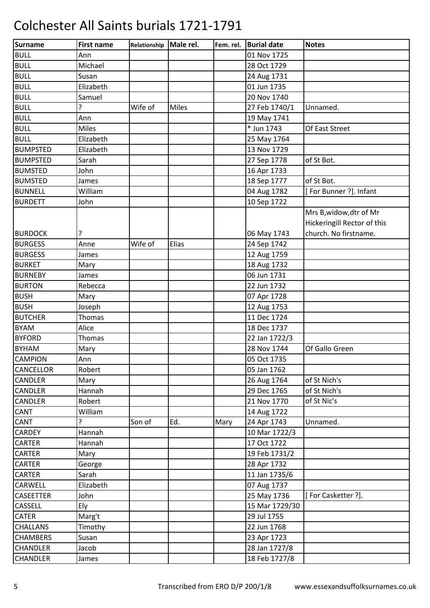| <b>Surname</b>   | <b>First name</b> | Relationship | Male rel.    | Fem. rel. | <b>Burial date</b> | <b>Notes</b>                |
|------------------|-------------------|--------------|--------------|-----------|--------------------|-----------------------------|
| <b>BULL</b>      | Ann               |              |              |           | 01 Nov 1725        |                             |
| <b>BULL</b>      | Michael           |              |              |           | 28 Oct 1729        |                             |
| <b>BULL</b>      | Susan             |              |              |           | 24 Aug 1731        |                             |
| <b>BULL</b>      | Elizabeth         |              |              |           | 01 Jun 1735        |                             |
| <b>BULL</b>      | Samuel            |              |              |           | 20 Nov 1740        |                             |
| <b>BULL</b>      | ŗ                 | Wife of      | <b>Miles</b> |           | 27 Feb 1740/1      | Unnamed.                    |
| <b>BULL</b>      | Ann               |              |              |           | 19 May 1741        |                             |
| <b>BULL</b>      | <b>Miles</b>      |              |              |           | * Jun 1743         | Of East Street              |
| <b>BULL</b>      | Elizabeth         |              |              |           | 25 May 1764        |                             |
| <b>BUMPSTED</b>  | Elizabeth         |              |              |           | 13 Nov 1729        |                             |
| <b>BUMPSTED</b>  | Sarah             |              |              |           | 27 Sep 1778        | of St Bot.                  |
| <b>BUMSTED</b>   | John              |              |              |           | 16 Apr 1733        |                             |
| <b>BUMSTED</b>   | James             |              |              |           | 18 Sep 1777        | of St Bot.                  |
| <b>BUNNELL</b>   | William           |              |              |           | 04 Aug 1782        | [For Bunner ?]. Infant      |
| <b>BURDETT</b>   | John              |              |              |           | 10 Sep 1722        |                             |
|                  |                   |              |              |           |                    | Mrs B, widow, dtr of Mr     |
|                  |                   |              |              |           |                    | Hickeringill Rector of this |
| <b>BURDOCK</b>   | ?                 |              |              |           | 06 May 1743        | church. No firstname.       |
| <b>BURGESS</b>   | Anne              | Wife of      | Elias        |           | 24 Sep 1742        |                             |
| <b>BURGESS</b>   | James             |              |              |           | 12 Aug 1759        |                             |
| <b>BURKET</b>    | Mary              |              |              |           | 18 Aug 1732        |                             |
| <b>BURNEBY</b>   | James             |              |              |           | 06 Jun 1731        |                             |
| <b>BURTON</b>    | Rebecca           |              |              |           | 22 Jun 1732        |                             |
| <b>BUSH</b>      | Mary              |              |              |           | 07 Apr 1728        |                             |
| <b>BUSH</b>      | Joseph            |              |              |           | 12 Aug 1753        |                             |
| <b>BUTCHER</b>   | Thomas            |              |              |           | 11 Dec 1724        |                             |
| <b>BYAM</b>      | Alice             |              |              |           | 18 Dec 1737        |                             |
| <b>BYFORD</b>    | Thomas            |              |              |           | 22 Jan 1722/3      |                             |
| <b>BYHAM</b>     | Mary              |              |              |           | 28 Nov 1744        | Of Gallo Green              |
| <b>CAMPION</b>   | Ann               |              |              |           | 05 Oct 1735        |                             |
| <b>CANCELLOR</b> | Robert            |              |              |           | 05 Jan 1762        |                             |
| <b>CANDLER</b>   | Mary              |              |              |           | 26 Aug 1764        | of St Nich's                |
| <b>CANDLER</b>   | Hannah            |              |              |           | 29 Dec 1765        | of St Nich's                |
| CANDLER          | Robert            |              |              |           | 21 Nov 1770        | of St Nic's                 |
| <b>CANT</b>      | William           |              |              |           | 14 Aug 1722        |                             |
| CANT             | ŗ                 | Son of       | Ed.          | Mary      | 24 Apr 1743        | Unnamed.                    |
| <b>CARDEY</b>    | Hannah            |              |              |           | 10 Mar 1722/3      |                             |
| CARTER           | Hannah            |              |              |           | 17 Oct 1722        |                             |
| CARTER           | Mary              |              |              |           | 19 Feb 1731/2      |                             |
| <b>CARTER</b>    | George            |              |              |           | 28 Apr 1732        |                             |
| CARTER           | Sarah             |              |              |           | 11 Jan 1735/6      |                             |
| CARWELL          | Elizabeth         |              |              |           | 07 Aug 1737        |                             |
| <b>CASEETTER</b> | John              |              |              |           | 25 May 1736        | [For Casketter ?].          |
| <b>CASSELL</b>   | Ely               |              |              |           | 15 Mar 1729/30     |                             |
| <b>CATER</b>     | Marg't            |              |              |           | 29 Jul 1755        |                             |
| <b>CHALLANS</b>  | Timothy           |              |              |           | 22 Jun 1768        |                             |
| <b>CHAMBERS</b>  | Susan             |              |              |           | 23 Apr 1723        |                             |
| <b>CHANDLER</b>  | Jacob             |              |              |           | 28 Jan 1727/8      |                             |
| <b>CHANDLER</b>  | James             |              |              |           | 18 Feb 1727/8      |                             |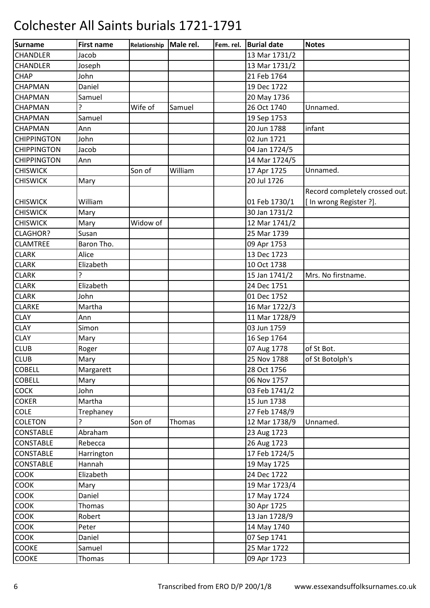| <b>Surname</b>     | <b>First name</b> | Relationship | Male rel. | Fem. rel. | <b>Burial date</b> | <b>Notes</b>                   |
|--------------------|-------------------|--------------|-----------|-----------|--------------------|--------------------------------|
| <b>CHANDLER</b>    | Jacob             |              |           |           | 13 Mar 1731/2      |                                |
| CHANDLER           | Joseph            |              |           |           | 13 Mar 1731/2      |                                |
| <b>CHAP</b>        | John              |              |           |           | 21 Feb 1764        |                                |
| CHAPMAN            | Daniel            |              |           |           | 19 Dec 1722        |                                |
| CHAPMAN            | Samuel            |              |           |           | 20 May 1736        |                                |
| CHAPMAN            | ?                 | Wife of      | Samuel    |           | 26 Oct 1740        | Unnamed.                       |
| CHAPMAN            | Samuel            |              |           |           | 19 Sep 1753        |                                |
| CHAPMAN            | Ann               |              |           |           | 20 Jun 1788        | infant                         |
| <b>CHIPPINGTON</b> | John              |              |           |           | 02 Jun 1721        |                                |
| <b>CHIPPINGTON</b> | Jacob             |              |           |           | 04 Jan 1724/5      |                                |
| <b>CHIPPINGTON</b> | Ann               |              |           |           | 14 Mar 1724/5      |                                |
| <b>CHISWICK</b>    |                   | Son of       | William   |           | 17 Apr 1725        | Unnamed.                       |
| <b>CHISWICK</b>    | Mary              |              |           |           | 20 Jul 1726        |                                |
|                    |                   |              |           |           |                    | Record completely crossed out. |
| <b>CHISWICK</b>    | William           |              |           |           | 01 Feb 1730/1      | [In wrong Register ?].         |
| <b>CHISWICK</b>    | Mary              |              |           |           | 30 Jan 1731/2      |                                |
| <b>CHISWICK</b>    | Mary              | Widow of     |           |           | 12 Mar 1741/2      |                                |
| <b>CLAGHOR?</b>    | Susan             |              |           |           | 25 Mar 1739        |                                |
| <b>CLAMTREE</b>    | Baron Tho.        |              |           |           | 09 Apr 1753        |                                |
| <b>CLARK</b>       | Alice             |              |           |           | 13 Dec 1723        |                                |
| <b>CLARK</b>       | Elizabeth         |              |           |           | 10 Oct 1738        |                                |
| <b>CLARK</b>       | 5.                |              |           |           | 15 Jan 1741/2      | Mrs. No firstname.             |
| <b>CLARK</b>       | Elizabeth         |              |           |           | 24 Dec 1751        |                                |
| <b>CLARK</b>       | John              |              |           |           | 01 Dec 1752        |                                |
| <b>CLARKE</b>      | Martha            |              |           |           | 16 Mar 1722/3      |                                |
| <b>CLAY</b>        | Ann               |              |           |           | 11 Mar 1728/9      |                                |
| <b>CLAY</b>        | Simon             |              |           |           | 03 Jun 1759        |                                |
| <b>CLAY</b>        | Mary              |              |           |           | 16 Sep 1764        |                                |
| <b>CLUB</b>        | Roger             |              |           |           | 07 Aug 1778        | of St Bot.                     |
| <b>CLUB</b>        | Mary              |              |           |           | 25 Nov 1788        | of St Botolph's                |
| <b>COBELL</b>      | Margarett         |              |           |           | 28 Oct 1756        |                                |
| <b>COBELL</b>      | Mary              |              |           |           | 06 Nov 1757        |                                |
| <b>COCK</b>        | John              |              |           |           | 03 Feb 1741/2      |                                |
| <b>COKER</b>       | Martha            |              |           |           | 15 Jun 1738        |                                |
| <b>COLE</b>        | Trephaney         |              |           |           | 27 Feb 1748/9      |                                |
| <b>COLETON</b>     |                   | Son of       | Thomas    |           | 12 Mar 1738/9      | Unnamed.                       |
| <b>CONSTABLE</b>   | Abraham           |              |           |           | 23 Aug 1723        |                                |
| <b>CONSTABLE</b>   | Rebecca           |              |           |           | 26 Aug 1723        |                                |
| <b>CONSTABLE</b>   | Harrington        |              |           |           | 17 Feb 1724/5      |                                |
| <b>CONSTABLE</b>   | Hannah            |              |           |           | 19 May 1725        |                                |
| COOK               | Elizabeth         |              |           |           | 24 Dec 1722        |                                |
| <b>COOK</b>        | Mary              |              |           |           | 19 Mar 1723/4      |                                |
| <b>COOK</b>        | Daniel            |              |           |           | 17 May 1724        |                                |
| <b>COOK</b>        | Thomas            |              |           |           | 30 Apr 1725        |                                |
| COOK               | Robert            |              |           |           | 13 Jan 1728/9      |                                |
| <b>COOK</b>        | Peter             |              |           |           | 14 May 1740        |                                |
| COOK               | Daniel            |              |           |           | 07 Sep 1741        |                                |
| <b>COOKE</b>       | Samuel            |              |           |           | 25 Mar 1722        |                                |
| COOKE              | Thomas            |              |           |           | 09 Apr 1723        |                                |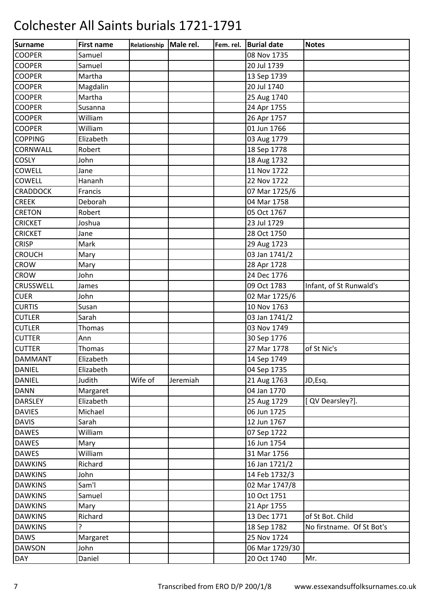| <b>Surname</b>  | <b>First name</b> | Relationship | Male rel. | Fem. rel. | <b>Burial date</b> | <b>Notes</b>              |
|-----------------|-------------------|--------------|-----------|-----------|--------------------|---------------------------|
| <b>COOPER</b>   | Samuel            |              |           |           | 08 Nov 1735        |                           |
| <b>COOPER</b>   | Samuel            |              |           |           | 20 Jul 1739        |                           |
| <b>COOPER</b>   | Martha            |              |           |           | 13 Sep 1739        |                           |
| <b>COOPER</b>   | Magdalin          |              |           |           | 20 Jul 1740        |                           |
| <b>COOPER</b>   | Martha            |              |           |           | 25 Aug 1740        |                           |
| <b>COOPER</b>   | Susanna           |              |           |           | 24 Apr 1755        |                           |
| <b>COOPER</b>   | William           |              |           |           | 26 Apr 1757        |                           |
| <b>COOPER</b>   | William           |              |           |           | 01 Jun 1766        |                           |
| <b>COPPING</b>  | Elizabeth         |              |           |           | 03 Aug 1779        |                           |
| CORNWALL        | Robert            |              |           |           | 18 Sep 1778        |                           |
| <b>COSLY</b>    | John              |              |           |           | 18 Aug 1732        |                           |
| COWELL          | Jane              |              |           |           | 11 Nov 1722        |                           |
| <b>COWELL</b>   | Hananh            |              |           |           | 22 Nov 1722        |                           |
| <b>CRADDOCK</b> | Francis           |              |           |           | 07 Mar 1725/6      |                           |
| <b>CREEK</b>    | Deborah           |              |           |           | 04 Mar 1758        |                           |
| <b>CRETON</b>   | Robert            |              |           |           | 05 Oct 1767        |                           |
| <b>CRICKET</b>  | Joshua            |              |           |           | 23 Jul 1729        |                           |
| <b>CRICKET</b>  | Jane              |              |           |           | 28 Oct 1750        |                           |
| <b>CRISP</b>    | Mark              |              |           |           | 29 Aug 1723        |                           |
| <b>CROUCH</b>   | Mary              |              |           |           | 03 Jan 1741/2      |                           |
| <b>CROW</b>     | Mary              |              |           |           | 28 Apr 1728        |                           |
| <b>CROW</b>     | John              |              |           |           | 24 Dec 1776        |                           |
| CRUSSWELL       | James             |              |           |           | 09 Oct 1783        | Infant, of St Runwald's   |
| <b>CUER</b>     | John              |              |           |           | 02 Mar 1725/6      |                           |
| <b>CURTIS</b>   | Susan             |              |           |           | 10 Nov 1763        |                           |
| <b>CUTLER</b>   | Sarah             |              |           |           | 03 Jan 1741/2      |                           |
| <b>CUTLER</b>   | <b>Thomas</b>     |              |           |           | 03 Nov 1749        |                           |
| <b>CUTTER</b>   | Ann               |              |           |           | 30 Sep 1776        |                           |
| <b>CUTTER</b>   | Thomas            |              |           |           | 27 Mar 1778        | of St Nic's               |
| <b>DAMMANT</b>  | Elizabeth         |              |           |           | 14 Sep 1749        |                           |
| <b>DANIEL</b>   | Elizabeth         |              |           |           | 04 Sep 1735        |                           |
| <b>DANIEL</b>   | Judith            | Wife of      | Jeremiah  |           | 21 Aug 1763        | JD,Esq.                   |
| <b>DANN</b>     | Margaret          |              |           |           | 04 Jan 1770        |                           |
| <b>DARSLEY</b>  | Elizabeth         |              |           |           | 25 Aug 1729        | [ QV Dearsley?].          |
| <b>DAVIES</b>   | Michael           |              |           |           | 06 Jun 1725        |                           |
| <b>DAVIS</b>    | Sarah             |              |           |           | 12 Jun 1767        |                           |
| <b>DAWES</b>    | William           |              |           |           | 07 Sep 1722        |                           |
| <b>DAWES</b>    | Mary              |              |           |           | 16 Jun 1754        |                           |
| <b>DAWES</b>    | William           |              |           |           | 31 Mar 1756        |                           |
| <b>DAWKINS</b>  | Richard           |              |           |           | 16 Jan 1721/2      |                           |
| <b>DAWKINS</b>  | John              |              |           |           | 14 Feb 1732/3      |                           |
| <b>DAWKINS</b>  | Sam'l             |              |           |           | 02 Mar 1747/8      |                           |
| <b>DAWKINS</b>  | Samuel            |              |           |           | 10 Oct 1751        |                           |
| <b>DAWKINS</b>  | Mary              |              |           |           | 21 Apr 1755        |                           |
| <b>DAWKINS</b>  | Richard           |              |           |           | 13 Dec 1771        | of St Bot. Child          |
| <b>DAWKINS</b>  | ŗ                 |              |           |           | 18 Sep 1782        | No firstname. Of St Bot's |
| <b>DAWS</b>     | Margaret          |              |           |           | 25 Nov 1724        |                           |
| <b>DAWSON</b>   | John              |              |           |           | 06 Mar 1729/30     |                           |
| <b>DAY</b>      | Daniel            |              |           |           | 20 Oct 1740        | Mr.                       |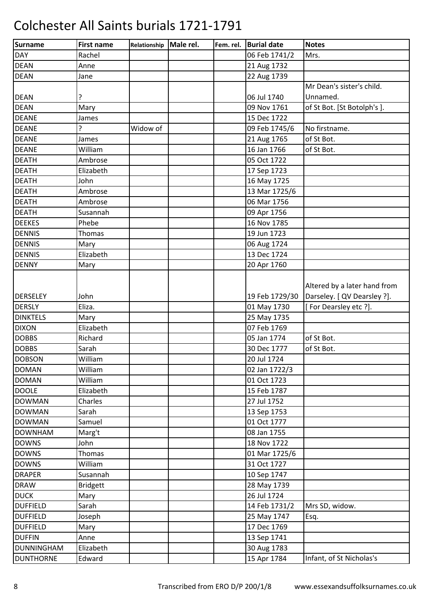| Surname           | <b>First name</b> | Relationship Male rel. | Fem. rel. | <b>Burial date</b> | <b>Notes</b>                 |
|-------------------|-------------------|------------------------|-----------|--------------------|------------------------------|
| <b>DAY</b>        | Rachel            |                        |           | 06 Feb 1741/2      | Mrs.                         |
| <b>DEAN</b>       | Anne              |                        |           | 21 Aug 1732        |                              |
| <b>DEAN</b>       | Jane              |                        |           | 22 Aug 1739        |                              |
|                   |                   |                        |           |                    | Mr Dean's sister's child.    |
| <b>DEAN</b>       | ?                 |                        |           | 06 Jul 1740        | Unnamed.                     |
| <b>DEAN</b>       | Mary              |                        |           | 09 Nov 1761        | of St Bot. [St Botolph's ].  |
| <b>DEANE</b>      | James             |                        |           | 15 Dec 1722        |                              |
| <b>DEANE</b>      | ?                 | Widow of               |           | 09 Feb 1745/6      | No firstname.                |
| <b>DEANE</b>      | James             |                        |           | 21 Aug 1765        | of St Bot.                   |
| <b>DEANE</b>      | William           |                        |           | 16 Jan 1766        | of St Bot.                   |
| <b>DEATH</b>      | Ambrose           |                        |           | 05 Oct 1722        |                              |
| <b>DEATH</b>      | Elizabeth         |                        |           | 17 Sep 1723        |                              |
| <b>DEATH</b>      | John              |                        |           | 16 May 1725        |                              |
| <b>DEATH</b>      | Ambrose           |                        |           | 13 Mar 1725/6      |                              |
| <b>DEATH</b>      | Ambrose           |                        |           | 06 Mar 1756        |                              |
| <b>DEATH</b>      | Susannah          |                        |           | 09 Apr 1756        |                              |
| <b>DEEKES</b>     | Phebe             |                        |           | 16 Nov 1785        |                              |
| <b>DENNIS</b>     | <b>Thomas</b>     |                        |           | 19 Jun 1723        |                              |
| <b>DENNIS</b>     | Mary              |                        |           | 06 Aug 1724        |                              |
| <b>DENNIS</b>     | Elizabeth         |                        |           | 13 Dec 1724        |                              |
| <b>DENNY</b>      | Mary              |                        |           | 20 Apr 1760        |                              |
|                   |                   |                        |           |                    | Altered by a later hand from |
| <b>DERSELEY</b>   | John              |                        |           | 19 Feb 1729/30     | Darseley. [ QV Dearsley ?].  |
| <b>DERSLY</b>     | Eliza.            |                        |           | 01 May 1730        | [For Dearsley etc ?].        |
| <b>DINKTELS</b>   | Mary              |                        |           | 25 May 1735        |                              |
| <b>DIXON</b>      | Elizabeth         |                        |           | 07 Feb 1769        |                              |
| <b>DOBBS</b>      | Richard           |                        |           | 05 Jan 1774        | of St Bot.                   |
| <b>DOBBS</b>      | Sarah             |                        |           | 30 Dec 1777        | of St Bot.                   |
| <b>DOBSON</b>     | William           |                        |           | 20 Jul 1724        |                              |
| <b>DOMAN</b>      | William           |                        |           | 02 Jan 1722/3      |                              |
| <b>DOMAN</b>      | William           |                        |           | 01 Oct 1723        |                              |
| <b>DOOLE</b>      | Elizabeth         |                        |           | 15 Feb 1787        |                              |
| <b>DOWMAN</b>     | Charles           |                        |           | 27 Jul 1752        |                              |
| <b>DOWMAN</b>     | Sarah             |                        |           | 13 Sep 1753        |                              |
| <b>DOWMAN</b>     | Samuel            |                        |           | 01 Oct 1777        |                              |
| <b>DOWNHAM</b>    | Marg't            |                        |           | 08 Jan 1755        |                              |
| <b>DOWNS</b>      | John              |                        |           | 18 Nov 1722        |                              |
| <b>DOWNS</b>      | Thomas            |                        |           | 01 Mar 1725/6      |                              |
| <b>DOWNS</b>      | William           |                        |           | 31 Oct 1727        |                              |
| <b>DRAPER</b>     | Susannah          |                        |           | 10 Sep 1747        |                              |
| <b>DRAW</b>       | <b>Bridgett</b>   |                        |           | 28 May 1739        |                              |
| <b>DUCK</b>       | Mary              |                        |           | 26 Jul 1724        |                              |
| <b>DUFFIELD</b>   | Sarah             |                        |           | 14 Feb 1731/2      | Mrs SD, widow.               |
| <b>DUFFIELD</b>   | Joseph            |                        |           | 25 May 1747        | Esq.                         |
| <b>DUFFIELD</b>   | Mary              |                        |           | 17 Dec 1769        |                              |
| <b>DUFFIN</b>     | Anne              |                        |           | 13 Sep 1741        |                              |
| <b>DUNNINGHAM</b> | Elizabeth         |                        |           | 30 Aug 1783        |                              |
| <b>DUNTHORNE</b>  | Edward            |                        |           | 15 Apr 1784        | Infant, of St Nicholas's     |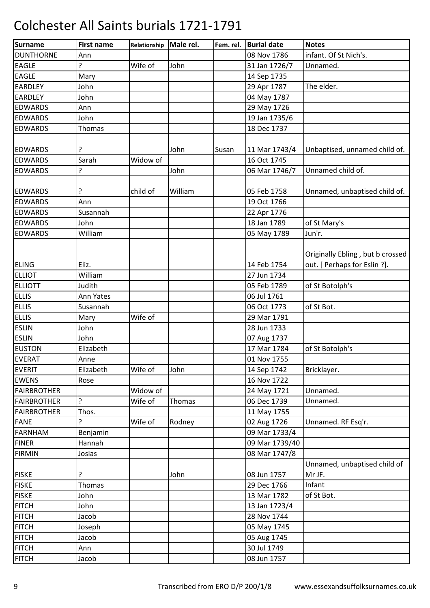| <b>Surname</b>     | <b>First name</b> | Relationship | Male rel. | Fem. rel. | <b>Burial date</b> | <b>Notes</b>                     |
|--------------------|-------------------|--------------|-----------|-----------|--------------------|----------------------------------|
| <b>DUNTHORNE</b>   | Ann               |              |           |           | 08 Nov 1786        | infant. Of St Nich's.            |
| <b>EAGLE</b>       | ŗ                 | Wife of      | John      |           | 31 Jan 1726/7      | Unnamed.                         |
| <b>EAGLE</b>       | Mary              |              |           |           | 14 Sep 1735        |                                  |
| <b>EARDLEY</b>     | John              |              |           |           | 29 Apr 1787        | The elder.                       |
| <b>EARDLEY</b>     | John              |              |           |           | 04 May 1787        |                                  |
| <b>EDWARDS</b>     | Ann               |              |           |           | 29 May 1726        |                                  |
| <b>EDWARDS</b>     | John              |              |           |           | 19 Jan 1735/6      |                                  |
| <b>EDWARDS</b>     | <b>Thomas</b>     |              |           |           | 18 Dec 1737        |                                  |
|                    |                   |              |           |           |                    |                                  |
| <b>EDWARDS</b>     |                   |              | John      | Susan     | 11 Mar 1743/4      | Unbaptised, unnamed child of.    |
| <b>EDWARDS</b>     | Sarah             | Widow of     |           |           | 16 Oct 1745        |                                  |
| <b>EDWARDS</b>     | 5.                |              | John      |           | 06 Mar 1746/7      | Unnamed child of.                |
|                    |                   |              |           |           |                    |                                  |
| <b>EDWARDS</b>     | 7                 | child of     | William   |           | 05 Feb 1758        | Unnamed, unbaptised child of.    |
| <b>EDWARDS</b>     | Ann               |              |           |           | 19 Oct 1766        |                                  |
| <b>EDWARDS</b>     | Susannah          |              |           |           | 22 Apr 1776        |                                  |
| <b>EDWARDS</b>     | John              |              |           |           | 18 Jan 1789        | of St Mary's                     |
| <b>EDWARDS</b>     | William           |              |           |           | 05 May 1789        | Jun'r.                           |
|                    |                   |              |           |           |                    |                                  |
|                    |                   |              |           |           |                    | Originally Ebling, but b crossed |
| <b>ELING</b>       | Eliz.             |              |           |           | 14 Feb 1754        | out. [ Perhaps for Eslin ?].     |
| <b>ELLIOT</b>      | William           |              |           |           | 27 Jun 1734        |                                  |
| <b>ELLIOTT</b>     | Judith            |              |           |           | 05 Feb 1789        | of St Botolph's                  |
| <b>ELLIS</b>       | Ann Yates         |              |           |           | 06 Jul 1761        |                                  |
| <b>ELLIS</b>       | Susannah          |              |           |           | 06 Oct 1773        | of St Bot.                       |
| <b>ELLIS</b>       | Mary              | Wife of      |           |           | 29 Mar 1791        |                                  |
| <b>ESLIN</b>       | John              |              |           |           | 28 Jun 1733        |                                  |
| <b>ESLIN</b>       | John              |              |           |           | 07 Aug 1737        |                                  |
| <b>EUSTON</b>      | Elizabeth         |              |           |           | 17 Mar 1784        | of St Botolph's                  |
| <b>EVERAT</b>      | Anne              |              |           |           | 01 Nov 1755        |                                  |
| <b>EVERIT</b>      | Elizabeth         | Wife of      | John      |           | 14 Sep 1742        | Bricklayer.                      |
| <b>EWENS</b>       | Rose              |              |           |           | 16 Nov 1722        |                                  |
| <b>FAIRBROTHER</b> |                   | Widow of     |           |           | 24 May 1721        | Unnamed.                         |
| FAIRBROTHER        | ŗ                 | Wife of      | Thomas    |           | 06 Dec 1739        | Unnamed.                         |
| <b>FAIRBROTHER</b> | Thos.             |              |           |           | 11 May 1755        |                                  |
| <b>FANE</b>        | ?                 | Wife of      | Rodney    |           | 02 Aug 1726        | Unnamed. RF Esq'r.               |
| <b>FARNHAM</b>     | Benjamin          |              |           |           | 09 Mar 1733/4      |                                  |
| <b>FINER</b>       | Hannah            |              |           |           | 09 Mar 1739/40     |                                  |
| <b>FIRMIN</b>      | Josias            |              |           |           | 08 Mar 1747/8      |                                  |
|                    |                   |              |           |           |                    | Unnamed, unbaptised child of     |
| <b>FISKE</b>       |                   |              | John      |           | 08 Jun 1757        | Mr JF.                           |
| <b>FISKE</b>       | <b>Thomas</b>     |              |           |           | 29 Dec 1766        | Infant                           |
| <b>FISKE</b>       | John              |              |           |           | 13 Mar 1782        | of St Bot.                       |
| <b>FITCH</b>       | John              |              |           |           | 13 Jan 1723/4      |                                  |
| <b>FITCH</b>       | Jacob             |              |           |           | 28 Nov 1744        |                                  |
| <b>FITCH</b>       | Joseph            |              |           |           | 05 May 1745        |                                  |
| <b>FITCH</b>       | Jacob             |              |           |           | 05 Aug 1745        |                                  |
| <b>FITCH</b>       | Ann               |              |           |           | 30 Jul 1749        |                                  |
| <b>FITCH</b>       | Jacob             |              |           |           | 08 Jun 1757        |                                  |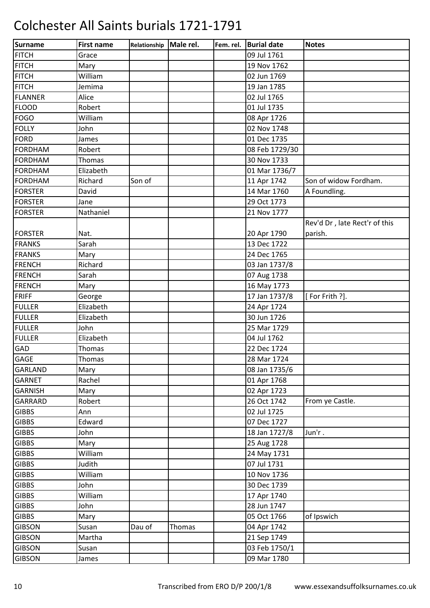| Surname        | <b>First name</b> | Relationship Male rel. |               | Fem. rel. | <b>Burial date</b> | <b>Notes</b>                  |
|----------------|-------------------|------------------------|---------------|-----------|--------------------|-------------------------------|
| <b>FITCH</b>   | Grace             |                        |               |           | 09 Jul 1761        |                               |
| <b>FITCH</b>   | Mary              |                        |               |           | 19 Nov 1762        |                               |
| <b>FITCH</b>   | William           |                        |               |           | 02 Jun 1769        |                               |
| <b>FITCH</b>   | Jemima            |                        |               |           | 19 Jan 1785        |                               |
| <b>FLANNER</b> | Alice             |                        |               |           | 02 Jul 1765        |                               |
| <b>FLOOD</b>   | Robert            |                        |               |           | 01 Jul 1735        |                               |
| FOGO           | William           |                        |               |           | 08 Apr 1726        |                               |
| <b>FOLLY</b>   | John              |                        |               |           | 02 Nov 1748        |                               |
| FORD           | James             |                        |               |           | 01 Dec 1735        |                               |
| <b>FORDHAM</b> | Robert            |                        |               |           | 08 Feb 1729/30     |                               |
| <b>FORDHAM</b> | <b>Thomas</b>     |                        |               |           | 30 Nov 1733        |                               |
| <b>FORDHAM</b> | Elizabeth         |                        |               |           | 01 Mar 1736/7      |                               |
| <b>FORDHAM</b> | Richard           | Son of                 |               |           | 11 Apr 1742        | Son of widow Fordham.         |
| <b>FORSTER</b> | David             |                        |               |           | 14 Mar 1760        | A Foundling.                  |
| <b>FORSTER</b> | Jane              |                        |               |           | 29 Oct 1773        |                               |
| <b>FORSTER</b> | Nathaniel         |                        |               |           | 21 Nov 1777        |                               |
|                |                   |                        |               |           |                    | Rev'd Dr, late Rect'r of this |
| <b>FORSTER</b> | Nat.              |                        |               |           | 20 Apr 1790        | parish.                       |
| <b>FRANKS</b>  | Sarah             |                        |               |           | 13 Dec 1722        |                               |
| <b>FRANKS</b>  | Mary              |                        |               |           | 24 Dec 1765        |                               |
| <b>FRENCH</b>  | Richard           |                        |               |           | 03 Jan 1737/8      |                               |
| <b>FRENCH</b>  | Sarah             |                        |               |           | 07 Aug 1738        |                               |
| <b>FRENCH</b>  | Mary              |                        |               |           | 16 May 1773        |                               |
| <b>FRIFF</b>   | George            |                        |               |           | 17 Jan 1737/8      | [For Frith ?].                |
| <b>FULLER</b>  | Elizabeth         |                        |               |           | 24 Apr 1724        |                               |
| <b>FULLER</b>  | Elizabeth         |                        |               |           | 30 Jun 1726        |                               |
| <b>FULLER</b>  | John              |                        |               |           | 25 Mar 1729        |                               |
| <b>FULLER</b>  | Elizabeth         |                        |               |           | 04 Jul 1762        |                               |
| GAD            | <b>Thomas</b>     |                        |               |           | 22 Dec 1724        |                               |
| <b>GAGE</b>    | Thomas            |                        |               |           | 28 Mar 1724        |                               |
| GARLAND        | Mary              |                        |               |           | 08 Jan 1735/6      |                               |
| <b>GARNET</b>  | Rachel            |                        |               |           | 01 Apr 1768        |                               |
| <b>GARNISH</b> | Mary              |                        |               |           | 02 Apr 1723        |                               |
| <b>GARRARD</b> | Robert            |                        |               |           | 26 Oct 1742        | From ye Castle.               |
| <b>GIBBS</b>   | Ann               |                        |               |           | 02 Jul 1725        |                               |
| <b>GIBBS</b>   | Edward            |                        |               |           | 07 Dec 1727        |                               |
| <b>GIBBS</b>   | John              |                        |               |           | 18 Jan 1727/8      | Jun'r.                        |
| <b>GIBBS</b>   | Mary              |                        |               |           | 25 Aug 1728        |                               |
| <b>GIBBS</b>   | William           |                        |               |           | 24 May 1731        |                               |
| <b>GIBBS</b>   | Judith            |                        |               |           | 07 Jul 1731        |                               |
| <b>GIBBS</b>   | William           |                        |               |           | 10 Nov 1736        |                               |
| <b>GIBBS</b>   | John              |                        |               |           | 30 Dec 1739        |                               |
| <b>GIBBS</b>   | William           |                        |               |           | 17 Apr 1740        |                               |
| <b>GIBBS</b>   | John              |                        |               |           | 28 Jun 1747        |                               |
| <b>GIBBS</b>   | Mary              |                        |               |           | 05 Oct 1766        | of Ipswich                    |
| <b>GIBSON</b>  | Susan             | Dau of                 | <b>Thomas</b> |           | 04 Apr 1742        |                               |
| <b>GIBSON</b>  | Martha            |                        |               |           | 21 Sep 1749        |                               |
| <b>GIBSON</b>  | Susan             |                        |               |           | 03 Feb 1750/1      |                               |
| <b>GIBSON</b>  | James             |                        |               |           | 09 Mar 1780        |                               |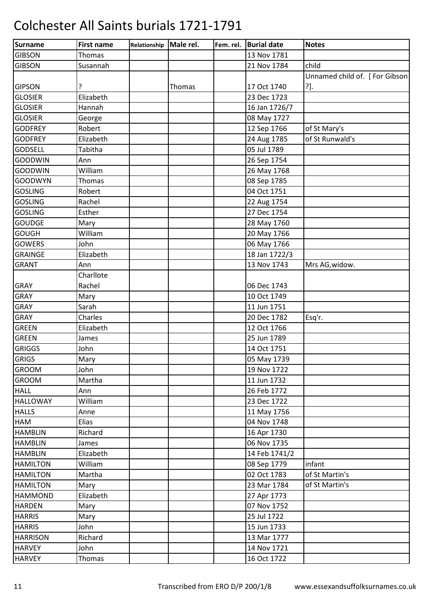| <b>Surname</b>  | <b>First name</b> | Relationship | Male rel. | Fem. rel. | <b>Burial date</b> | <b>Notes</b>                   |
|-----------------|-------------------|--------------|-----------|-----------|--------------------|--------------------------------|
| <b>GIBSON</b>   | Thomas            |              |           |           | 13 Nov 1781        |                                |
| <b>GIBSON</b>   | Susannah          |              |           |           | 21 Nov 1784        | child                          |
|                 |                   |              |           |           |                    | Unnamed child of. [For Gibson] |
| <b>GIPSON</b>   | ?                 |              | Thomas    |           | 17 Oct 1740        | ?].                            |
| <b>GLOSIER</b>  | Elizabeth         |              |           |           | 23 Dec 1723        |                                |
| <b>GLOSIER</b>  | Hannah            |              |           |           | 16 Jan 1726/7      |                                |
| <b>GLOSIER</b>  | George            |              |           |           | 08 May 1727        |                                |
| <b>GODFREY</b>  | Robert            |              |           |           | 12 Sep 1766        | of St Mary's                   |
| <b>GODFREY</b>  | Elizabeth         |              |           |           | 24 Aug 1785        | of St Runwald's                |
| <b>GODSELL</b>  | Tabitha           |              |           |           | 05 Jul 1789        |                                |
| <b>GOODWIN</b>  | Ann               |              |           |           | 26 Sep 1754        |                                |
| <b>GOODWIN</b>  | William           |              |           |           | 26 May 1768        |                                |
| <b>GOODWYN</b>  | Thomas            |              |           |           | 08 Sep 1785        |                                |
| <b>GOSLING</b>  | Robert            |              |           |           | 04 Oct 1751        |                                |
| <b>GOSLING</b>  | Rachel            |              |           |           | 22 Aug 1754        |                                |
| <b>GOSLING</b>  | Esther            |              |           |           | 27 Dec 1754        |                                |
| <b>GOUDGE</b>   | Mary              |              |           |           | 28 May 1760        |                                |
| <b>GOUGH</b>    | William           |              |           |           | 20 May 1766        |                                |
| <b>GOWERS</b>   | John              |              |           |           | 06 May 1766        |                                |
| <b>GRAINGE</b>  | Elizabeth         |              |           |           | 18 Jan 1722/3      |                                |
| <b>GRANT</b>    | Ann               |              |           |           | 13 Nov 1743        | Mrs AG, widow.                 |
|                 | Charllote         |              |           |           |                    |                                |
| <b>GRAY</b>     | Rachel            |              |           |           | 06 Dec 1743        |                                |
| <b>GRAY</b>     | Mary              |              |           |           | 10 Oct 1749        |                                |
| GRAY            | Sarah             |              |           |           | 11 Jun 1751        |                                |
| <b>GRAY</b>     | Charles           |              |           |           | 20 Dec 1782        | Esq'r.                         |
| <b>GREEN</b>    | Elizabeth         |              |           |           | 12 Oct 1766        |                                |
| <b>GREEN</b>    | James             |              |           |           | 25 Jun 1789        |                                |
| <b>GRIGGS</b>   | John              |              |           |           | 14 Oct 1751        |                                |
| GRIGS           | Mary              |              |           |           | 05 May 1739        |                                |
| <b>GROOM</b>    | John              |              |           |           | 19 Nov 1722        |                                |
| <b>GROOM</b>    | Martha            |              |           |           | 11 Jun 1732        |                                |
| <b>HALL</b>     | Ann               |              |           |           | 26 Feb 1772        |                                |
| <b>HALLOWAY</b> | William           |              |           |           | 23 Dec 1722        |                                |
| <b>HALLS</b>    | Anne              |              |           |           | 11 May 1756        |                                |
| HAM             | Elias             |              |           |           | 04 Nov 1748        |                                |
| <b>HAMBLIN</b>  | Richard           |              |           |           | 16 Apr 1730        |                                |
| <b>HAMBLIN</b>  | James             |              |           |           | 06 Nov 1735        |                                |
| <b>HAMBLIN</b>  | Elizabeth         |              |           |           | 14 Feb 1741/2      |                                |
| <b>HAMILTON</b> | William           |              |           |           | 08 Sep 1779        | infant                         |
| <b>HAMILTON</b> | Martha            |              |           |           | 02 Oct 1783        | of St Martin's                 |
| <b>HAMILTON</b> | Mary              |              |           |           | 23 Mar 1784        | of St Martin's                 |
| <b>HAMMOND</b>  | Elizabeth         |              |           |           | 27 Apr 1773        |                                |
| <b>HARDEN</b>   | Mary              |              |           |           | 07 Nov 1752        |                                |
| <b>HARRIS</b>   | Mary              |              |           |           | 25 Jul 1722        |                                |
| <b>HARRIS</b>   | John              |              |           |           | 15 Jun 1733        |                                |
| <b>HARRISON</b> | Richard           |              |           |           | 13 Mar 1777        |                                |
| <b>HARVEY</b>   | John              |              |           |           | 14 Nov 1721        |                                |
| <b>HARVEY</b>   | Thomas            |              |           |           | 16 Oct 1722        |                                |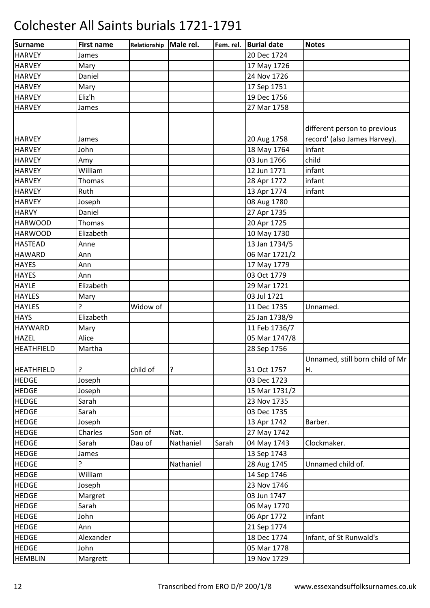| <b>Surname</b>                    | <b>First name</b> | Relationship | Male rel. | Fem. rel. | <b>Burial date</b> | <b>Notes</b>                    |
|-----------------------------------|-------------------|--------------|-----------|-----------|--------------------|---------------------------------|
| <b>HARVEY</b>                     | James             |              |           |           | 20 Dec 1724        |                                 |
| <b>HARVEY</b>                     | Mary              |              |           |           | 17 May 1726        |                                 |
| <b>HARVEY</b>                     | Daniel            |              |           |           | 24 Nov 1726        |                                 |
| <b>HARVEY</b>                     | Mary              |              |           |           | 17 Sep 1751        |                                 |
| <b>HARVEY</b>                     | Eliz'h            |              |           |           | 19 Dec 1756        |                                 |
| <b>HARVEY</b>                     | James             |              |           |           | 27 Mar 1758        |                                 |
|                                   |                   |              |           |           |                    |                                 |
|                                   |                   |              |           |           |                    | different person to previous    |
| <b>HARVEY</b>                     | James             |              |           |           | 20 Aug 1758        | record' (also James Harvey).    |
| <b>HARVEY</b>                     | John              |              |           |           | 18 May 1764        | infant                          |
| <b>HARVEY</b>                     | Amy               |              |           |           | 03 Jun 1766        | child                           |
| <b>HARVEY</b>                     | William           |              |           |           | 12 Jun 1771        | infant                          |
| <b>HARVEY</b>                     | <b>Thomas</b>     |              |           |           | 28 Apr 1772        | infant                          |
| <b>HARVEY</b>                     | Ruth              |              |           |           | 13 Apr 1774        | infant                          |
| <b>HARVEY</b>                     | Joseph            |              |           |           | 08 Aug 1780        |                                 |
| <b>HARVY</b>                      | Daniel            |              |           |           | 27 Apr 1735        |                                 |
| <b>HARWOOD</b>                    | <b>Thomas</b>     |              |           |           | 20 Apr 1725        |                                 |
| <b>HARWOOD</b>                    | Elizabeth         |              |           |           | 10 May 1730        |                                 |
| <b>HASTEAD</b>                    | Anne              |              |           |           | 13 Jan 1734/5      |                                 |
| <b>HAWARD</b>                     | Ann               |              |           |           | 06 Mar 1721/2      |                                 |
|                                   |                   |              |           |           |                    |                                 |
| <b>HAYES</b>                      | Ann               |              |           |           | 17 May 1779        |                                 |
| <b>HAYES</b>                      | Ann               |              |           |           | 03 Oct 1779        |                                 |
| <b>HAYLE</b>                      | Elizabeth         |              |           |           | 29 Mar 1721        |                                 |
| <b>HAYLES</b>                     | Mary              |              |           |           | 03 Jul 1721        |                                 |
| <b>HAYLES</b>                     | ?                 | Widow of     |           |           | 11 Dec 1735        | Unnamed.                        |
| <b>HAYS</b>                       | Elizabeth         |              |           |           | 25 Jan 1738/9      |                                 |
| <b>HAYWARD</b>                    | Mary              |              |           |           | 11 Feb 1736/7      |                                 |
| <b>HAZEL</b>                      | Alice             |              |           |           | 05 Mar 1747/8      |                                 |
| <b>HEATHFIELD</b>                 | Martha            |              |           |           | 28 Sep 1756        |                                 |
|                                   | ŗ                 | child of     | ?         |           | 31 Oct 1757        | Unnamed, still born child of Mr |
| <b>HEATHFIELD</b><br><b>HEDGE</b> |                   |              |           |           | 03 Dec 1723        | Η.                              |
|                                   | Joseph            |              |           |           |                    |                                 |
| <b>HEDGE</b>                      | Joseph            |              |           |           | 15 Mar 1731/2      |                                 |
| <b>HEDGE</b>                      | Sarah             |              |           |           | 23 Nov 1735        |                                 |
| <b>HEDGE</b>                      | Sarah             |              |           |           | 03 Dec 1735        |                                 |
| <b>HEDGE</b>                      | Joseph            |              |           |           | 13 Apr 1742        | Barber.                         |
| <b>HEDGE</b>                      | Charles           | Son of       | Nat.      |           | 27 May 1742        |                                 |
| <b>HEDGE</b>                      | Sarah             | Dau of       | Nathaniel | Sarah     | 04 May 1743        | Clockmaker.                     |
| <b>HEDGE</b>                      | James             |              |           |           | 13 Sep 1743        |                                 |
| <b>HEDGE</b>                      | <sub>5</sub>      |              | Nathaniel |           | 28 Aug 1745        | Unnamed child of.               |
| <b>HEDGE</b>                      | William           |              |           |           | 14 Sep 1746        |                                 |
| <b>HEDGE</b>                      | Joseph            |              |           |           | 23 Nov 1746        |                                 |
| <b>HEDGE</b>                      | Margret           |              |           |           | 03 Jun 1747        |                                 |
| <b>HEDGE</b>                      | Sarah             |              |           |           | 06 May 1770        |                                 |
| <b>HEDGE</b>                      | John              |              |           |           | 06 Apr 1772        | infant                          |
| <b>HEDGE</b>                      | Ann               |              |           |           | 21 Sep 1774        |                                 |
| <b>HEDGE</b>                      | Alexander         |              |           |           | 18 Dec 1774        | Infant, of St Runwald's         |
| <b>HEDGE</b>                      | John              |              |           |           | 05 Mar 1778        |                                 |
| <b>HEMBLIN</b>                    | Margrett          |              |           |           | 19 Nov 1729        |                                 |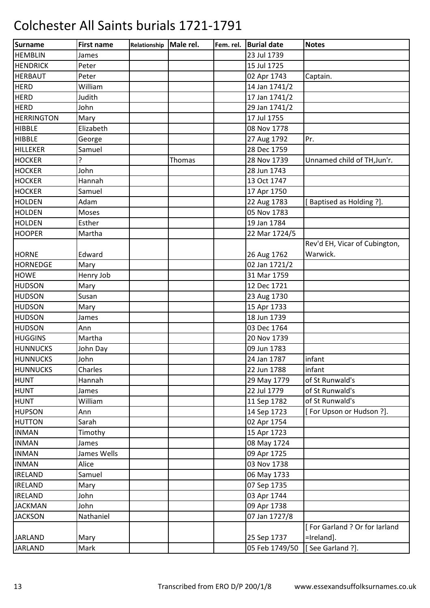| Surname           | <b>First name</b> | Relationship | Male rel. | Fem. rel. | <b>Burial date</b> | <b>Notes</b>                  |
|-------------------|-------------------|--------------|-----------|-----------|--------------------|-------------------------------|
| <b>HEMBLIN</b>    | James             |              |           |           | 23 Jul 1739        |                               |
| <b>HENDRICK</b>   | Peter             |              |           |           | 15 Jul 1725        |                               |
| <b>HERBAUT</b>    | Peter             |              |           |           | 02 Apr 1743        | Captain.                      |
| <b>HERD</b>       | William           |              |           |           | 14 Jan 1741/2      |                               |
| <b>HERD</b>       | Judith            |              |           |           | 17 Jan 1741/2      |                               |
| <b>HERD</b>       | John              |              |           |           | 29 Jan 1741/2      |                               |
| <b>HERRINGTON</b> | Mary              |              |           |           | 17 Jul 1755        |                               |
| <b>HIBBLE</b>     | Elizabeth         |              |           |           | 08 Nov 1778        |                               |
| <b>HIBBLE</b>     | George            |              |           |           | 27 Aug 1792        | Pr.                           |
| <b>HILLEKER</b>   | Samuel            |              |           |           | 28 Dec 1759        |                               |
| <b>HOCKER</b>     | ?                 |              | Thomas    |           | 28 Nov 1739        | Unnamed child of TH, Jun'r.   |
| <b>HOCKER</b>     | John              |              |           |           | 28 Jun 1743        |                               |
| <b>HOCKER</b>     | Hannah            |              |           |           | 13 Oct 1747        |                               |
| <b>HOCKER</b>     | Samuel            |              |           |           | 17 Apr 1750        |                               |
| <b>HOLDEN</b>     | Adam              |              |           |           | 22 Aug 1783        | [Baptised as Holding ?].      |
| <b>HOLDEN</b>     | Moses             |              |           |           | 05 Nov 1783        |                               |
| <b>HOLDEN</b>     | Esther            |              |           |           | 19 Jan 1784        |                               |
| <b>HOOPER</b>     | Martha            |              |           |           | 22 Mar 1724/5      |                               |
|                   |                   |              |           |           |                    | Rev'd EH, Vicar of Cubington, |
| <b>HORNE</b>      | Edward            |              |           |           | 26 Aug 1762        | Warwick.                      |
| <b>HORNEDGE</b>   | Mary              |              |           |           | 02 Jan 1721/2      |                               |
| <b>HOWE</b>       | Henry Job         |              |           |           | 31 Mar 1759        |                               |
| <b>HUDSON</b>     | Mary              |              |           |           | 12 Dec 1721        |                               |
| <b>HUDSON</b>     | Susan             |              |           |           | 23 Aug 1730        |                               |
| <b>HUDSON</b>     | Mary              |              |           |           | 15 Apr 1733        |                               |
| <b>HUDSON</b>     | James             |              |           |           | 18 Jun 1739        |                               |
| <b>HUDSON</b>     | Ann               |              |           |           | 03 Dec 1764        |                               |
| <b>HUGGINS</b>    | Martha            |              |           |           | 20 Nov 1739        |                               |
| <b>HUNNUCKS</b>   | John Day          |              |           |           | 09 Jun 1783        |                               |
| <b>HUNNUCKS</b>   | John              |              |           |           | 24 Jan 1787        | infant                        |
| <b>HUNNUCKS</b>   | Charles           |              |           |           | 22 Jun 1788        | infant                        |
| <b>HUNT</b>       | Hannah            |              |           |           | 29 May 1779        | of St Runwald's               |
| <b>HUNT</b>       | James             |              |           |           | 22 Jul 1779        | of St Runwald's               |
| <b>HUNT</b>       | William           |              |           |           | 11 Sep 1782        | of St Runwald's               |
| <b>HUPSON</b>     | Ann               |              |           |           | 14 Sep 1723        | [For Upson or Hudson ?].      |
| <b>HUTTON</b>     | Sarah             |              |           |           | 02 Apr 1754        |                               |
| <b>INMAN</b>      | Timothy           |              |           |           | 15 Apr 1723        |                               |
| <b>INMAN</b>      | James             |              |           |           | 08 May 1724        |                               |
| <b>INMAN</b>      | James Wells       |              |           |           | 09 Apr 1725        |                               |
| <b>INMAN</b>      | Alice             |              |           |           | 03 Nov 1738        |                               |
| <b>IRELAND</b>    | Samuel            |              |           |           | 06 May 1733        |                               |
| <b>IRELAND</b>    | Mary              |              |           |           | 07 Sep 1735        |                               |
| <b>IRELAND</b>    | John              |              |           |           | 03 Apr 1744        |                               |
| <b>JACKMAN</b>    | John              |              |           |           | 09 Apr 1738        |                               |
| <b>JACKSON</b>    | Nathaniel         |              |           |           | 07 Jan 1727/8      |                               |
|                   |                   |              |           |           |                    | [For Garland ? Or for Iarland |
| <b>JARLAND</b>    | Mary              |              |           |           | 25 Sep 1737        | =Ireland].                    |
| <b>JARLAND</b>    | Mark              |              |           |           | 05 Feb 1749/50     | [See Garland ?].              |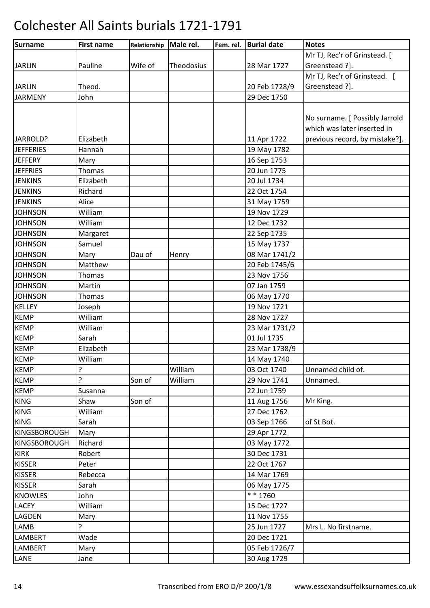| Surname          | <b>First name</b> | Relationship | Male rel.  | Fem. rel. | <b>Burial date</b> | <b>Notes</b>                   |
|------------------|-------------------|--------------|------------|-----------|--------------------|--------------------------------|
|                  |                   |              |            |           |                    | Mr TJ, Rec'r of Grinstead. [   |
| <b>JARLIN</b>    | Pauline           | Wife of      | Theodosius |           | 28 Mar 1727        | Greenstead ?].                 |
|                  |                   |              |            |           |                    | Mr TJ, Rec'r of Grinstead. [   |
| <b>JARLIN</b>    | Theod.            |              |            |           | 20 Feb 1728/9      | Greenstead ?].                 |
| <b>JARMENY</b>   | John              |              |            |           | 29 Dec 1750        |                                |
|                  |                   |              |            |           |                    |                                |
|                  |                   |              |            |           |                    | No surname. [ Possibly Jarrold |
|                  |                   |              |            |           |                    | which was later inserted in    |
| JARROLD?         | Elizabeth         |              |            |           | 11 Apr 1722        | previous record, by mistake?]. |
| <b>JEFFERIES</b> | Hannah            |              |            |           | 19 May 1782        |                                |
| <b>JEFFERY</b>   | Mary              |              |            |           | 16 Sep 1753        |                                |
| <b>JEFFRIES</b>  | Thomas            |              |            |           | 20 Jun 1775        |                                |
| <b>JENKINS</b>   | Elizabeth         |              |            |           | 20 Jul 1734        |                                |
| <b>JENKINS</b>   | Richard           |              |            |           | 22 Oct 1754        |                                |
| <b>JENKINS</b>   | Alice             |              |            |           | 31 May 1759        |                                |
| <b>JOHNSON</b>   | William           |              |            |           | 19 Nov 1729        |                                |
| <b>JOHNSON</b>   | William           |              |            |           | 12 Dec 1732        |                                |
| <b>JOHNSON</b>   | Margaret          |              |            |           | 22 Sep 1735        |                                |
| <b>JOHNSON</b>   | Samuel            |              |            |           | 15 May 1737        |                                |
| <b>JOHNSON</b>   | Mary              | Dau of       | Henry      |           | 08 Mar 1741/2      |                                |
| <b>JOHNSON</b>   | Matthew           |              |            |           | 20 Feb 1745/6      |                                |
| <b>JOHNSON</b>   | <b>Thomas</b>     |              |            |           | 23 Nov 1756        |                                |
| <b>JOHNSON</b>   | Martin            |              |            |           | 07 Jan 1759        |                                |
| <b>JOHNSON</b>   | Thomas            |              |            |           | 06 May 1770        |                                |
| KELLEY           | Joseph            |              |            |           | 19 Nov 1721        |                                |
| <b>KEMP</b>      | William           |              |            |           | 28 Nov 1727        |                                |
| <b>KEMP</b>      | William           |              |            |           | 23 Mar 1731/2      |                                |
| <b>KEMP</b>      | Sarah             |              |            |           | 01 Jul 1735        |                                |
| <b>KEMP</b>      | Elizabeth         |              |            |           | 23 Mar 1738/9      |                                |
| <b>KEMP</b>      | William           |              |            |           | 14 May 1740        |                                |
| <b>KEMP</b>      | ?                 |              | William    |           | 03 Oct 1740        | Unnamed child of.              |
| <b>KEMP</b>      | ŗ                 | Son of       | William    |           | 29 Nov 1741        | Unnamed.                       |
| <b>KEMP</b>      | Susanna           |              |            |           | 22 Jun 1759        |                                |
| <b>KING</b>      | Shaw              | Son of       |            |           | 11 Aug 1756        | Mr King.                       |
| <b>KING</b>      | William           |              |            |           | 27 Dec 1762        |                                |
| <b>KING</b>      | Sarah             |              |            |           | 03 Sep 1766        | of St Bot.                     |
| KINGSBOROUGH     | Mary              |              |            |           | 29 Apr 1772        |                                |
| KINGSBOROUGH     | Richard           |              |            |           | 03 May 1772        |                                |
| <b>KIRK</b>      | Robert            |              |            |           | 30 Dec 1731        |                                |
| <b>KISSER</b>    | Peter             |              |            |           | 22 Oct 1767        |                                |
| <b>KISSER</b>    | Rebecca           |              |            |           | 14 Mar 1769        |                                |
| <b>KISSER</b>    | Sarah             |              |            |           | 06 May 1775        |                                |
| <b>KNOWLES</b>   | John              |              |            |           | ** 1760            |                                |
| <b>LACEY</b>     | William           |              |            |           | 15 Dec 1727        |                                |
| LAGDEN           | Mary              |              |            |           | 11 Nov 1755        |                                |
| <b>LAMB</b>      | ŗ                 |              |            |           | 25 Jun 1727        | Mrs L. No firstname.           |
| <b>LAMBERT</b>   | Wade              |              |            |           | 20 Dec 1721        |                                |
| <b>LAMBERT</b>   | Mary              |              |            |           | 05 Feb 1726/7      |                                |
| LANE             | Jane              |              |            |           | 30 Aug 1729        |                                |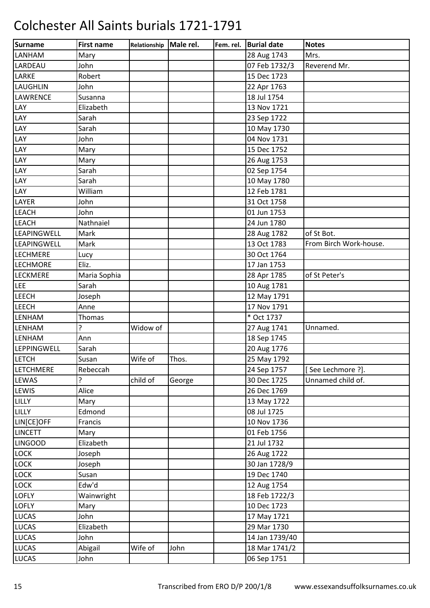| <b>Surname</b>   | <b>First name</b> | Relationship | Male rel. | Fem. rel. | <b>Burial date</b> | <b>Notes</b>           |
|------------------|-------------------|--------------|-----------|-----------|--------------------|------------------------|
| LANHAM           | Mary              |              |           |           | 28 Aug 1743        | Mrs.                   |
| LARDEAU          | John              |              |           |           | 07 Feb 1732/3      | Reverend Mr.           |
| LARKE            | Robert            |              |           |           | 15 Dec 1723        |                        |
| LAUGHLIN         | John              |              |           |           | 22 Apr 1763        |                        |
| LAWRENCE         | Susanna           |              |           |           | 18 Jul 1754        |                        |
| LAY              | Elizabeth         |              |           |           | 13 Nov 1721        |                        |
| LAY              | Sarah             |              |           |           | 23 Sep 1722        |                        |
| LAY              | Sarah             |              |           |           | 10 May 1730        |                        |
| LAY              | John              |              |           |           | 04 Nov 1731        |                        |
| LAY              | Mary              |              |           |           | 15 Dec 1752        |                        |
| LAY              | Mary              |              |           |           | 26 Aug 1753        |                        |
| LAY              | Sarah             |              |           |           | 02 Sep 1754        |                        |
| LAY              | Sarah             |              |           |           | 10 May 1780        |                        |
| LAY              | William           |              |           |           | 12 Feb 1781        |                        |
| LAYER            | John              |              |           |           | 31 Oct 1758        |                        |
| <b>LEACH</b>     | John              |              |           |           | 01 Jun 1753        |                        |
| <b>LEACH</b>     | Nathnaiel         |              |           |           | 24 Jun 1780        |                        |
| LEAPINGWELL      | Mark              |              |           |           | 28 Aug 1782        | of St Bot.             |
| LEAPINGWELL      | Mark              |              |           |           | 13 Oct 1783        | From Birch Work-house. |
| <b>LECHMERE</b>  | Lucy              |              |           |           | 30 Oct 1764        |                        |
| <b>LECHMORE</b>  | Eliz.             |              |           |           | 17 Jan 1753        |                        |
| LECKMERE         | Maria Sophia      |              |           |           | 28 Apr 1785        | of St Peter's          |
| <b>LEE</b>       | Sarah             |              |           |           | 10 Aug 1781        |                        |
| <b>LEECH</b>     | Joseph            |              |           |           | 12 May 1791        |                        |
| <b>LEECH</b>     | Anne              |              |           |           | 17 Nov 1791        |                        |
| LENHAM           | <b>Thomas</b>     |              |           |           | * Oct 1737         |                        |
| LENHAM           | ?                 | Widow of     |           |           | 27 Aug 1741        | Unnamed.               |
| LENHAM           | Ann               |              |           |           | 18 Sep 1745        |                        |
| LEPPINGWELL      | Sarah             |              |           |           | 20 Aug 1776        |                        |
| <b>LETCH</b>     | Susan             | Wife of      | Thos.     |           | 25 May 1792        |                        |
| <b>LETCHMERE</b> | Rebeccah          |              |           |           | 24 Sep 1757        | [See Lechmore ?].      |
| <b>LEWAS</b>     | ?                 | child of     | George    |           | 30 Dec 1725        | Unnamed child of.      |
| LEWIS            | Alice             |              |           |           | 26 Dec 1769        |                        |
| LILLY            | Mary              |              |           |           | 13 May 1722        |                        |
| LILLY            | Edmond            |              |           |           | 08 Jul 1725        |                        |
| LIN[CE]OFF       | Francis           |              |           |           | 10 Nov 1736        |                        |
| <b>LINCETT</b>   | Mary              |              |           |           | 01 Feb 1756        |                        |
| <b>LINGOOD</b>   | Elizabeth         |              |           |           | 21 Jul 1732        |                        |
| <b>LOCK</b>      | Joseph            |              |           |           | 26 Aug 1722        |                        |
| LOCK             | Joseph            |              |           |           | 30 Jan 1728/9      |                        |
| <b>LOCK</b>      | Susan             |              |           |           | 19 Dec 1740        |                        |
| <b>LOCK</b>      | Edw'd             |              |           |           | 12 Aug 1754        |                        |
| <b>LOFLY</b>     | Wainwright        |              |           |           | 18 Feb 1722/3      |                        |
| <b>LOFLY</b>     | Mary              |              |           |           | 10 Dec 1723        |                        |
| <b>LUCAS</b>     | John              |              |           |           | 17 May 1721        |                        |
| <b>LUCAS</b>     | Elizabeth         |              |           |           | 29 Mar 1730        |                        |
| <b>LUCAS</b>     | John              |              |           |           | 14 Jan 1739/40     |                        |
| <b>LUCAS</b>     | Abigail           | Wife of      | John      |           | 18 Mar 1741/2      |                        |
| LUCAS            | John              |              |           |           | 06 Sep 1751        |                        |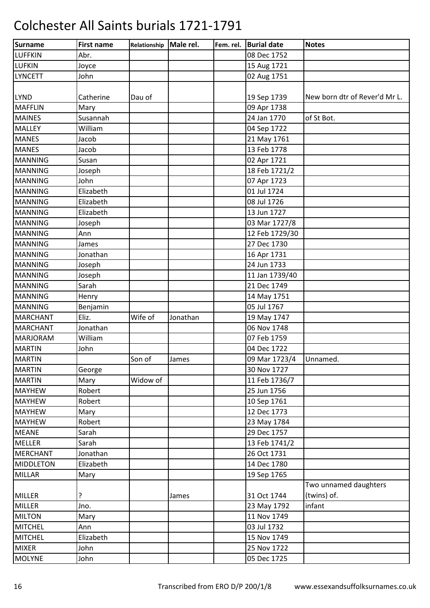| Surname          | <b>First name</b> | Relationship | Male rel. | Fem. rel. | <b>Burial date</b> | <b>Notes</b>                  |
|------------------|-------------------|--------------|-----------|-----------|--------------------|-------------------------------|
| <b>LUFFKIN</b>   | Abr.              |              |           |           | 08 Dec 1752        |                               |
| <b>LUFKIN</b>    | Joyce             |              |           |           | 15 Aug 1721        |                               |
| <b>LYNCETT</b>   | John              |              |           |           | 02 Aug 1751        |                               |
|                  |                   |              |           |           |                    |                               |
| <b>LYND</b>      | Catherine         | Dau of       |           |           | 19 Sep 1739        | New born dtr of Rever'd Mr L. |
| <b>MAFFLIN</b>   | Mary              |              |           |           | 09 Apr 1738        |                               |
| <b>MAINES</b>    | Susannah          |              |           |           | 24 Jan 1770        | of St Bot.                    |
| <b>MALLEY</b>    | William           |              |           |           | 04 Sep 1722        |                               |
| <b>MANES</b>     | Jacob             |              |           |           | 21 May 1761        |                               |
| <b>MANES</b>     | Jacob             |              |           |           | 13 Feb 1778        |                               |
| <b>MANNING</b>   | Susan             |              |           |           | 02 Apr 1721        |                               |
| <b>MANNING</b>   | Joseph            |              |           |           | 18 Feb 1721/2      |                               |
| <b>MANNING</b>   | John              |              |           |           | 07 Apr 1723        |                               |
| <b>MANNING</b>   | Elizabeth         |              |           |           | 01 Jul 1724        |                               |
| <b>MANNING</b>   | Elizabeth         |              |           |           | 08 Jul 1726        |                               |
| <b>MANNING</b>   | Elizabeth         |              |           |           | 13 Jun 1727        |                               |
| <b>MANNING</b>   | Joseph            |              |           |           | 03 Mar 1727/8      |                               |
| <b>MANNING</b>   | Ann               |              |           |           | 12 Feb 1729/30     |                               |
| <b>MANNING</b>   | James             |              |           |           | 27 Dec 1730        |                               |
| <b>MANNING</b>   | Jonathan          |              |           |           | 16 Apr 1731        |                               |
| <b>MANNING</b>   | Joseph            |              |           |           | 24 Jun 1733        |                               |
| <b>MANNING</b>   | Joseph            |              |           |           | 11 Jan 1739/40     |                               |
| <b>MANNING</b>   | Sarah             |              |           |           | 21 Dec 1749        |                               |
| <b>MANNING</b>   | Henry             |              |           |           | 14 May 1751        |                               |
| <b>MANNING</b>   | Benjamin          |              |           |           | 05 Jul 1767        |                               |
| <b>MARCHANT</b>  | Eliz.             | Wife of      | Jonathan  |           | 19 May 1747        |                               |
| <b>MARCHANT</b>  | Jonathan          |              |           |           | 06 Nov 1748        |                               |
| <b>MARJORAM</b>  | William           |              |           |           | 07 Feb 1759        |                               |
| <b>MARTIN</b>    | John              |              |           |           | 04 Dec 1722        |                               |
| <b>MARTIN</b>    |                   | Son of       | James     |           | 09 Mar 1723/4      | Unnamed.                      |
| <b>MARTIN</b>    | George            |              |           |           | 30 Nov 1727        |                               |
| <b>MARTIN</b>    | Mary              | Widow of     |           |           | 11 Feb 1736/7      |                               |
| <b>MAYHEW</b>    | Robert            |              |           |           | 25 Jun 1756        |                               |
| <b>MAYHEW</b>    | Robert            |              |           |           | 10 Sep 1761        |                               |
| <b>MAYHEW</b>    | Mary              |              |           |           | 12 Dec 1773        |                               |
| <b>MAYHEW</b>    | Robert            |              |           |           | 23 May 1784        |                               |
| <b>MEANE</b>     | Sarah             |              |           |           | 29 Dec 1757        |                               |
| <b>MELLER</b>    | Sarah             |              |           |           | 13 Feb 1741/2      |                               |
| <b>MERCHANT</b>  | Jonathan          |              |           |           | 26 Oct 1731        |                               |
| <b>MIDDLETON</b> | Elizabeth         |              |           |           | 14 Dec 1780        |                               |
| <b>MILLAR</b>    | Mary              |              |           |           | 19 Sep 1765        |                               |
|                  |                   |              |           |           |                    | Two unnamed daughters         |
| <b>MILLER</b>    | ŗ                 |              | James     |           | 31 Oct 1744        | (twins) of.                   |
| <b>MILLER</b>    | Jno.              |              |           |           | 23 May 1792        | infant                        |
| <b>MILTON</b>    | Mary              |              |           |           | 11 Nov 1749        |                               |
| <b>MITCHEL</b>   | Ann               |              |           |           | 03 Jul 1732        |                               |
| <b>MITCHEL</b>   | Elizabeth         |              |           |           | 15 Nov 1749        |                               |
| <b>MIXER</b>     | John              |              |           |           | 25 Nov 1722        |                               |
| <b>MOLYNE</b>    | John              |              |           |           | 05 Dec 1725        |                               |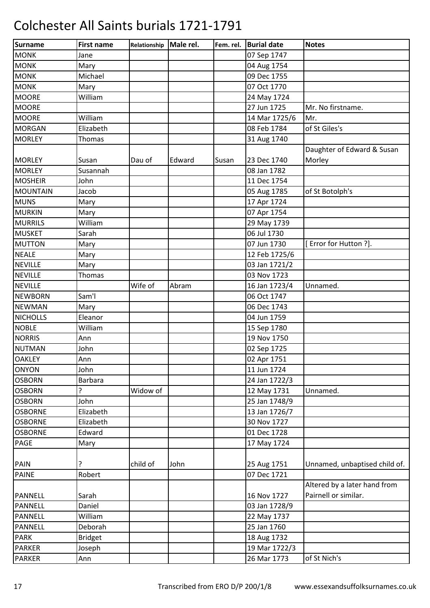| Surname         | <b>First name</b> | Relationship | Male rel. | Fem. rel. | <b>Burial date</b> | <b>Notes</b>                  |
|-----------------|-------------------|--------------|-----------|-----------|--------------------|-------------------------------|
| <b>MONK</b>     | Jane              |              |           |           | 07 Sep 1747        |                               |
| <b>MONK</b>     | Mary              |              |           |           | 04 Aug 1754        |                               |
| <b>MONK</b>     | Michael           |              |           |           | 09 Dec 1755        |                               |
| <b>MONK</b>     | Mary              |              |           |           | 07 Oct 1770        |                               |
| <b>MOORE</b>    | William           |              |           |           | 24 May 1724        |                               |
| <b>MOORE</b>    |                   |              |           |           | 27 Jun 1725        | Mr. No firstname.             |
| <b>MOORE</b>    | William           |              |           |           | 14 Mar 1725/6      | Mr.                           |
| <b>MORGAN</b>   | Elizabeth         |              |           |           | 08 Feb 1784        | of St Giles's                 |
| <b>MORLEY</b>   | Thomas            |              |           |           | 31 Aug 1740        |                               |
|                 |                   |              |           |           |                    | Daughter of Edward & Susan    |
| <b>MORLEY</b>   | Susan             | Dau of       | Edward    | Susan     | 23 Dec 1740        | Morley                        |
| <b>MORLEY</b>   | Susannah          |              |           |           | 08 Jan 1782        |                               |
| <b>MOSHEIR</b>  | John              |              |           |           | 11 Dec 1754        |                               |
| <b>MOUNTAIN</b> | Jacob             |              |           |           | 05 Aug 1785        | of St Botolph's               |
| <b>MUNS</b>     | Mary              |              |           |           | 17 Apr 1724        |                               |
| <b>MURKIN</b>   | Mary              |              |           |           | 07 Apr 1754        |                               |
| <b>MURRILS</b>  | William           |              |           |           | 29 May 1739        |                               |
| <b>MUSKET</b>   | Sarah             |              |           |           | 06 Jul 1730        |                               |
| <b>MUTTON</b>   | Mary              |              |           |           | 07 Jun 1730        | [Error for Hutton ?].         |
| <b>NEALE</b>    | Mary              |              |           |           | 12 Feb 1725/6      |                               |
| <b>NEVILLE</b>  | Mary              |              |           |           | 03 Jan 1721/2      |                               |
| <b>NEVILLE</b>  | <b>Thomas</b>     |              |           |           | 03 Nov 1723        |                               |
| <b>NEVILLE</b>  |                   | Wife of      | Abram     |           | 16 Jan 1723/4      | Unnamed.                      |
| <b>NEWBORN</b>  | Sam'l             |              |           |           | 06 Oct 1747        |                               |
| <b>NEWMAN</b>   | Mary              |              |           |           | 06 Dec 1743        |                               |
| <b>NICHOLLS</b> | Eleanor           |              |           |           | 04 Jun 1759        |                               |
| <b>NOBLE</b>    | William           |              |           |           | 15 Sep 1780        |                               |
| <b>NORRIS</b>   | Ann               |              |           |           | 19 Nov 1750        |                               |
| <b>NUTMAN</b>   | John              |              |           |           | 02 Sep 1725        |                               |
| <b>OAKLEY</b>   | Ann               |              |           |           | 02 Apr 1751        |                               |
| <b>ONYON</b>    | John              |              |           |           | 11 Jun 1724        |                               |
| <b>OSBORN</b>   | <b>Barbara</b>    |              |           |           | 24 Jan 1722/3      |                               |
| <b>OSBORN</b>   | 5.                | Widow of     |           |           | 12 May 1731        | Unnamed.                      |
| <b>OSBORN</b>   | John              |              |           |           | 25 Jan 1748/9      |                               |
| <b>OSBORNE</b>  | Elizabeth         |              |           |           | 13 Jan 1726/7      |                               |
| <b>OSBORNE</b>  | Elizabeth         |              |           |           | 30 Nov 1727        |                               |
| <b>OSBORNE</b>  | Edward            |              |           |           | 01 Dec 1728        |                               |
| <b>PAGE</b>     | Mary              |              |           |           | 17 May 1724        |                               |
|                 |                   |              |           |           |                    |                               |
| <b>PAIN</b>     | ?                 | child of     | John      |           | 25 Aug 1751        | Unnamed, unbaptised child of. |
| <b>PAINE</b>    | Robert            |              |           |           | 07 Dec 1721        |                               |
|                 |                   |              |           |           |                    | Altered by a later hand from  |
| PANNELL         | Sarah             |              |           |           | 16 Nov 1727        | Pairnell or similar.          |
| <b>PANNELL</b>  | Daniel            |              |           |           | 03 Jan 1728/9      |                               |
| PANNELL         | William           |              |           |           | 22 May 1737        |                               |
| <b>PANNELL</b>  | Deborah           |              |           |           | 25 Jan 1760        |                               |
| <b>PARK</b>     | <b>Bridget</b>    |              |           |           | 18 Aug 1732        |                               |
| <b>PARKER</b>   | Joseph            |              |           |           | 19 Mar 1722/3      |                               |
| <b>PARKER</b>   | Ann               |              |           |           | 26 Mar 1773        | of St Nich's                  |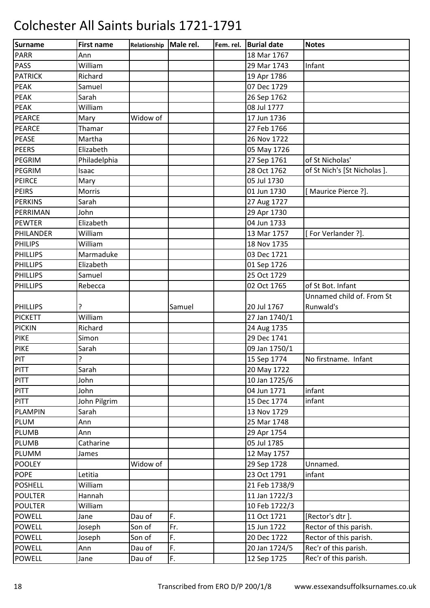| <b>Surname</b>  | <b>First name</b> | Relationship | Male rel. | Fem. rel. | <b>Burial date</b> | <b>Notes</b>                |
|-----------------|-------------------|--------------|-----------|-----------|--------------------|-----------------------------|
| <b>PARR</b>     | Ann               |              |           |           | 18 Mar 1767        |                             |
| PASS            | William           |              |           |           | 29 Mar 1743        | Infant                      |
| <b>PATRICK</b>  | Richard           |              |           |           | 19 Apr 1786        |                             |
| <b>PEAK</b>     | Samuel            |              |           |           | 07 Dec 1729        |                             |
| <b>PEAK</b>     | Sarah             |              |           |           | 26 Sep 1762        |                             |
| <b>PEAK</b>     | William           |              |           |           | 08 Jul 1777        |                             |
| <b>PEARCE</b>   | Mary              | Widow of     |           |           | 17 Jun 1736        |                             |
| <b>PEARCE</b>   | Thamar            |              |           |           | 27 Feb 1766        |                             |
| <b>PEASE</b>    | Martha            |              |           |           | 26 Nov 1722        |                             |
| <b>PEERS</b>    | Elizabeth         |              |           |           | 05 May 1726        |                             |
| PEGRIM          | Philadelphia      |              |           |           | 27 Sep 1761        | of St Nicholas'             |
| PEGRIM          | Isaac             |              |           |           | 28 Oct 1762        | of St Nich's [St Nicholas]. |
| PEIRCE          | Mary              |              |           |           | 05 Jul 1730        |                             |
| <b>PEIRS</b>    | Morris            |              |           |           | 01 Jun 1730        | [Maurice Pierce ?].         |
| <b>PERKINS</b>  | Sarah             |              |           |           | 27 Aug 1727        |                             |
| PERRIMAN        | John              |              |           |           | 29 Apr 1730        |                             |
| <b>PEWTER</b>   | Elizabeth         |              |           |           | 04 Jun 1733        |                             |
| PHILANDER       | William           |              |           |           | 13 Mar 1757        | [For Verlander ?].          |
| <b>PHILIPS</b>  | William           |              |           |           | 18 Nov 1735        |                             |
| PHILLIPS        | Marmaduke         |              |           |           | 03 Dec 1721        |                             |
| <b>PHILLIPS</b> | Elizabeth         |              |           |           | 01 Sep 1726        |                             |
| PHILLIPS        | Samuel            |              |           |           | 25 Oct 1729        |                             |
| <b>PHILLIPS</b> | Rebecca           |              |           |           | 02 Oct 1765        | of St Bot. Infant           |
|                 |                   |              |           |           |                    | Unnamed child of. From St   |
| <b>PHILLIPS</b> | ?                 |              | Samuel    |           | 20 Jul 1767        | Runwald's                   |
| <b>PICKETT</b>  | William           |              |           |           | 27 Jan 1740/1      |                             |
| <b>PICKIN</b>   | Richard           |              |           |           | 24 Aug 1735        |                             |
| <b>PIKE</b>     | Simon             |              |           |           | 29 Dec 1741        |                             |
| <b>PIKE</b>     | Sarah             |              |           |           | 09 Jan 1750/1      |                             |
| PIT             | Ç                 |              |           |           | 15 Sep 1774        | No firstname. Infant        |
| <b>PITT</b>     | Sarah             |              |           |           | 20 May 1722        |                             |
| <b>PITT</b>     | John              |              |           |           | 10 Jan 1725/6      |                             |
| <b>PITT</b>     | John              |              |           |           | 04 Jun 1771        | infant                      |
| PITT            | John Pilgrim      |              |           |           | 15 Dec 1774        | infant                      |
| <b>PLAMPIN</b>  | Sarah             |              |           |           | 13 Nov 1729        |                             |
| <b>PLUM</b>     | Ann               |              |           |           | 25 Mar 1748        |                             |
| <b>PLUMB</b>    | Ann               |              |           |           | 29 Apr 1754        |                             |
| <b>PLUMB</b>    | Catharine         |              |           |           | 05 Jul 1785        |                             |
| PLUMM           | James             |              |           |           | 12 May 1757        |                             |
| <b>POOLEY</b>   |                   | Widow of     |           |           | 29 Sep 1728        | Unnamed.                    |
| <b>POPE</b>     | Letitia           |              |           |           | 23 Oct 1791        | infant                      |
| <b>POSHELL</b>  | William           |              |           |           | 21 Feb 1738/9      |                             |
| <b>POULTER</b>  | Hannah            |              |           |           | 11 Jan 1722/3      |                             |
| <b>POULTER</b>  | William           |              |           |           | 10 Feb 1722/3      |                             |
| <b>POWELL</b>   | Jane              | Dau of       | F.        |           | 11 Oct 1721        | [Rector's dtr].             |
| <b>POWELL</b>   | Joseph            | Son of       | Fr.       |           | 15 Jun 1722        | Rector of this parish.      |
| <b>POWELL</b>   | Joseph            | Son of       | F.        |           | 20 Dec 1722        | Rector of this parish.      |
| <b>POWELL</b>   | Ann               | Dau of       | F.        |           | 20 Jan 1724/5      | Rec'r of this parish.       |
| <b>POWELL</b>   | Jane              | Dau of       | F.        |           | 12 Sep 1725        | Rec'r of this parish.       |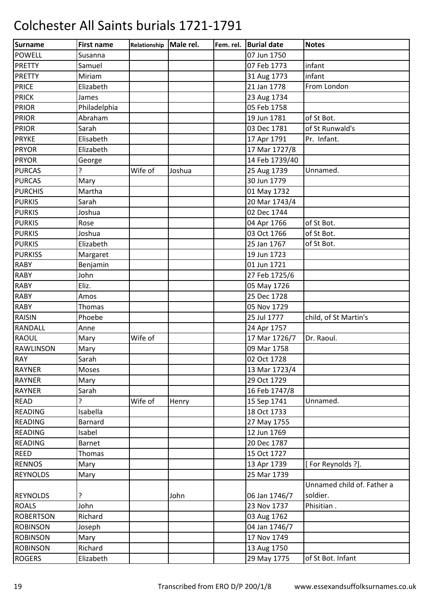| Surname          | <b>First name</b> | Relationship Male rel. |        | Fem. rel. | <b>Burial date</b> | <b>Notes</b>               |
|------------------|-------------------|------------------------|--------|-----------|--------------------|----------------------------|
| <b>POWELL</b>    | Susanna           |                        |        |           | 07 Jun 1750        |                            |
| <b>PRETTY</b>    | Samuel            |                        |        |           | 07 Feb 1773        | infant                     |
| <b>PRETTY</b>    | Miriam            |                        |        |           | 31 Aug 1773        | infant                     |
| <b>PRICE</b>     | Elizabeth         |                        |        |           | 21 Jan 1778        | From London                |
| <b>PRICK</b>     | James             |                        |        |           | 23 Aug 1734        |                            |
| <b>PRIOR</b>     | Philadelphia      |                        |        |           | 05 Feb 1758        |                            |
| <b>PRIOR</b>     | Abraham           |                        |        |           | 19 Jun 1781        | of St Bot.                 |
| <b>PRIOR</b>     | Sarah             |                        |        |           | 03 Dec 1781        | of St Runwald's            |
| <b>PRYKE</b>     | Elisabeth         |                        |        |           | 17 Apr 1791        | Pr. Infant.                |
| <b>PRYOR</b>     | Elizabeth         |                        |        |           | 17 Mar 1727/8      |                            |
| <b>PRYOR</b>     | George            |                        |        |           | 14 Feb 1739/40     |                            |
| <b>PURCAS</b>    | 5.                | Wife of                | Joshua |           | 25 Aug 1739        | Unnamed.                   |
| <b>PURCAS</b>    | Mary              |                        |        |           | 30 Jun 1779        |                            |
| <b>PURCHIS</b>   | Martha            |                        |        |           | 01 May 1732        |                            |
| <b>PURKIS</b>    | Sarah             |                        |        |           | 20 Mar 1743/4      |                            |
| <b>PURKIS</b>    | Joshua            |                        |        |           | 02 Dec 1744        |                            |
| <b>PURKIS</b>    | Rose              |                        |        |           | 04 Apr 1766        | of St Bot.                 |
| <b>PURKIS</b>    | Joshua            |                        |        |           | 03 Oct 1766        | of St Bot.                 |
| <b>PURKIS</b>    | Elizabeth         |                        |        |           | 25 Jan 1767        | of St Bot.                 |
| <b>PURKISS</b>   | Margaret          |                        |        |           | 19 Jun 1723        |                            |
| <b>RABY</b>      | Benjamin          |                        |        |           | 01 Jun 1721        |                            |
| <b>RABY</b>      | John              |                        |        |           | 27 Feb 1725/6      |                            |
| <b>RABY</b>      | Eliz.             |                        |        |           | 05 May 1726        |                            |
| <b>RABY</b>      | Amos              |                        |        |           | 25 Dec 1728        |                            |
| <b>RABY</b>      | <b>Thomas</b>     |                        |        |           | 05 Nov 1729        |                            |
| <b>RAISIN</b>    | Phoebe            |                        |        |           | 25 Jul 1777        | child, of St Martin's      |
| <b>RANDALL</b>   | Anne              |                        |        |           | 24 Apr 1757        |                            |
| <b>RAOUL</b>     | Mary              | Wife of                |        |           | 17 Mar 1726/7      | Dr. Raoul.                 |
| <b>RAWLINSON</b> | Mary              |                        |        |           | 09 Mar 1758        |                            |
| <b>RAY</b>       | Sarah             |                        |        |           | 02 Oct 1728        |                            |
| RAYNER           | Moses             |                        |        |           | 13 Mar 1723/4      |                            |
| <b>RAYNER</b>    | Mary              |                        |        |           | 29 Oct 1729        |                            |
| <b>RAYNER</b>    | Sarah             |                        |        |           | 16 Feb 1747/8      |                            |
| <b>READ</b>      | ?                 | Wife of                | Henry  |           | 15 Sep 1741        | Unnamed.                   |
| <b>READING</b>   | Isabella          |                        |        |           | 18 Oct 1733        |                            |
| <b>READING</b>   | <b>Barnard</b>    |                        |        |           | 27 May 1755        |                            |
| <b>READING</b>   | Isabel            |                        |        |           | 12 Jun 1769        |                            |
| <b>READING</b>   | <b>Barnet</b>     |                        |        |           | 20 Dec 1787        |                            |
| <b>REED</b>      | <b>Thomas</b>     |                        |        |           | 15 Oct 1727        |                            |
| <b>RENNOS</b>    | Mary              |                        |        |           | 13 Apr 1739        | [For Reynolds ?].          |
| <b>REYNOLDS</b>  | Mary              |                        |        |           | 25 Mar 1739        |                            |
|                  |                   |                        |        |           |                    | Unnamed child of. Father a |
| <b>REYNOLDS</b>  | ŗ                 |                        | John   |           | 06 Jan 1746/7      | soldier.                   |
| <b>ROALS</b>     | John              |                        |        |           | 23 Nov 1737        | Phisitian.                 |
| <b>ROBERTSON</b> | Richard           |                        |        |           | 03 Aug 1762        |                            |
| <b>ROBINSON</b>  | Joseph            |                        |        |           | 04 Jan 1746/7      |                            |
| <b>ROBINSON</b>  | Mary              |                        |        |           | 17 Nov 1749        |                            |
| <b>ROBINSON</b>  | Richard           |                        |        |           | 13 Aug 1750        |                            |
| <b>ROGERS</b>    | Elizabeth         |                        |        |           | 29 May 1775        | of St Bot. Infant          |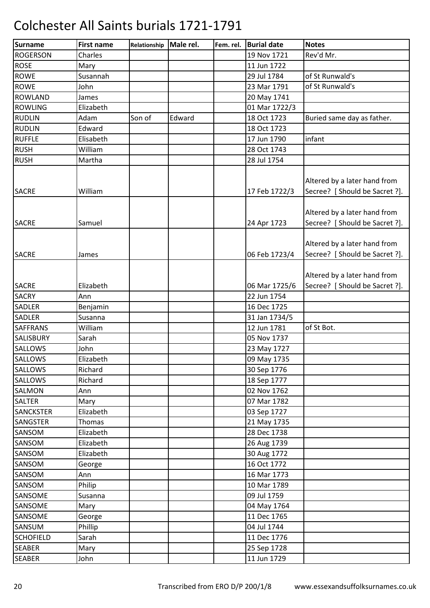| <b>Surname</b>   | <b>First name</b> | Relationship | Male rel. | Fem. rel. | <b>Burial date</b> | <b>Notes</b>                                                   |
|------------------|-------------------|--------------|-----------|-----------|--------------------|----------------------------------------------------------------|
| <b>ROGERSON</b>  | Charles           |              |           |           | 19 Nov 1721        | Rev'd Mr.                                                      |
| <b>ROSE</b>      | Mary              |              |           |           | 11 Jun 1722        |                                                                |
| <b>ROWE</b>      | Susannah          |              |           |           | 29 Jul 1784        | of St Runwald's                                                |
| <b>ROWE</b>      | John              |              |           |           | 23 Mar 1791        | of St Runwald's                                                |
| <b>ROWLAND</b>   | James             |              |           |           | 20 May 1741        |                                                                |
| <b>ROWLING</b>   | Elizabeth         |              |           |           | 01 Mar 1722/3      |                                                                |
| <b>RUDLIN</b>    | Adam              | Son of       | Edward    |           | 18 Oct 1723        | Buried same day as father.                                     |
| <b>RUDLIN</b>    | Edward            |              |           |           | 18 Oct 1723        |                                                                |
| <b>RUFFLE</b>    | Elisabeth         |              |           |           | 17 Jun 1790        | infant                                                         |
| <b>RUSH</b>      | William           |              |           |           | 28 Oct 1743        |                                                                |
| <b>RUSH</b>      | Martha            |              |           |           | 28 Jul 1754        |                                                                |
| <b>SACRE</b>     | William           |              |           |           | 17 Feb 1722/3      | Altered by a later hand from<br>Secree? [ Should be Sacret ?]. |
| <b>SACRE</b>     | Samuel            |              |           |           | 24 Apr 1723        | Altered by a later hand from<br>Secree? [ Should be Sacret ?]. |
| <b>SACRE</b>     | James             |              |           |           | 06 Feb 1723/4      | Altered by a later hand from<br>Secree? [ Should be Sacret ?]. |
| <b>SACRE</b>     | Elizabeth         |              |           |           | 06 Mar 1725/6      | Altered by a later hand from<br>Secree? [ Should be Sacret ?]. |
| <b>SACRY</b>     | Ann               |              |           |           | 22 Jun 1754        |                                                                |
| SADLER           | Benjamin          |              |           |           | 16 Dec 1725        |                                                                |
| <b>SADLER</b>    | Susanna           |              |           |           | 31 Jan 1734/5      |                                                                |
| SAFFRANS         | William           |              |           |           | 12 Jun 1781        | of St Bot.                                                     |
| SALISBURY        | Sarah             |              |           |           | 05 Nov 1737        |                                                                |
| SALLOWS          | John              |              |           |           | 23 May 1727        |                                                                |
| <b>SALLOWS</b>   | Elizabeth         |              |           |           | 09 May 1735        |                                                                |
| <b>SALLOWS</b>   | Richard           |              |           |           | 30 Sep 1776        |                                                                |
| <b>SALLOWS</b>   | Richard           |              |           |           | 18 Sep 1777        |                                                                |
| SALMON           | Ann               |              |           |           | 02 Nov 1762        |                                                                |
| SALTER           | Mary              |              |           |           | 07 Mar 1782        |                                                                |
| <b>SANCKSTER</b> | Elizabeth         |              |           |           | 03 Sep 1727        |                                                                |
| <b>SANGSTER</b>  | Thomas            |              |           |           | 21 May 1735        |                                                                |
| SANSOM           | Elizabeth         |              |           |           | 28 Dec 1738        |                                                                |
| SANSOM           | Elizabeth         |              |           |           | 26 Aug 1739        |                                                                |
| SANSOM           | Elizabeth         |              |           |           | 30 Aug 1772        |                                                                |
| SANSOM           | George            |              |           |           | 16 Oct 1772        |                                                                |
| SANSOM           | Ann               |              |           |           | 16 Mar 1773        |                                                                |
| SANSOM           | Philip            |              |           |           | 10 Mar 1789        |                                                                |
| SANSOME          | Susanna           |              |           |           | 09 Jul 1759        |                                                                |
| SANSOME          | Mary              |              |           |           | 04 May 1764        |                                                                |
| SANSOME          | George            |              |           |           | 11 Dec 1765        |                                                                |
| SANSUM           | Phillip           |              |           |           | 04 Jul 1744        |                                                                |
| <b>SCHOFIELD</b> | Sarah             |              |           |           | 11 Dec 1776        |                                                                |
| <b>SEABER</b>    | Mary              |              |           |           | 25 Sep 1728        |                                                                |
| <b>SEABER</b>    | John              |              |           |           | 11 Jun 1729        |                                                                |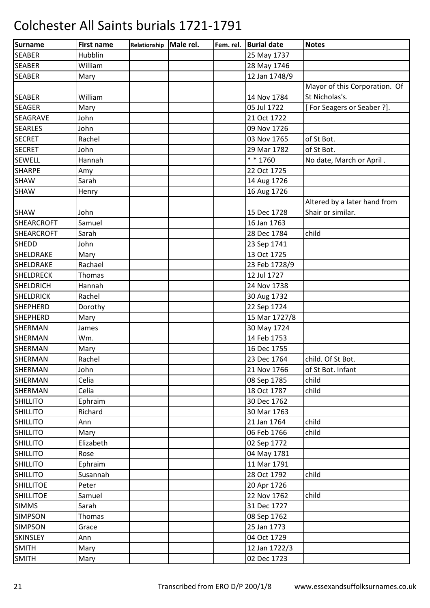| Surname           | <b>First name</b> | Relationship | Male rel. | Fem. rel. | <b>Burial date</b> | <b>Notes</b>                  |
|-------------------|-------------------|--------------|-----------|-----------|--------------------|-------------------------------|
| <b>SEABER</b>     | Hubblin           |              |           |           | 25 May 1737        |                               |
| <b>SEABER</b>     | William           |              |           |           | 28 May 1746        |                               |
| <b>SEABER</b>     | Mary              |              |           |           | 12 Jan 1748/9      |                               |
|                   |                   |              |           |           |                    | Mayor of this Corporation. Of |
| <b>SEABER</b>     | William           |              |           |           | 14 Nov 1784        | St Nicholas's.                |
| <b>SEAGER</b>     | Mary              |              |           |           | 05 Jul 1722        | [For Seagers or Seaber ?].    |
| <b>SEAGRAVE</b>   | John              |              |           |           | 21 Oct 1722        |                               |
| <b>SEARLES</b>    | John              |              |           |           | 09 Nov 1726        |                               |
| <b>SECRET</b>     | Rachel            |              |           |           | 03 Nov 1765        | of St Bot.                    |
| <b>SECRET</b>     | John              |              |           |           | 29 Mar 1782        | of St Bot.                    |
| <b>SEWELL</b>     | Hannah            |              |           |           | * * 1760           | No date, March or April.      |
| <b>SHARPE</b>     | Amy               |              |           |           | 22 Oct 1725        |                               |
| SHAW              | Sarah             |              |           |           | 14 Aug 1726        |                               |
| <b>SHAW</b>       | Henry             |              |           |           | 16 Aug 1726        |                               |
|                   |                   |              |           |           |                    | Altered by a later hand from  |
| <b>SHAW</b>       | John              |              |           |           | 15 Dec 1728        | Shair or similar.             |
| <b>SHEARCROFT</b> | Samuel            |              |           |           | 16 Jan 1763        |                               |
| <b>SHEARCROFT</b> | Sarah             |              |           |           | 28 Dec 1784        | child                         |
| <b>SHEDD</b>      | John              |              |           |           | 23 Sep 1741        |                               |
| SHELDRAKE         | Mary              |              |           |           | 13 Oct 1725        |                               |
| SHELDRAKE         | Rachael           |              |           |           | 23 Feb 1728/9      |                               |
| <b>SHELDRECK</b>  | Thomas            |              |           |           | 12 Jul 1727        |                               |
| <b>SHELDRICH</b>  | Hannah            |              |           |           | 24 Nov 1738        |                               |
| <b>SHELDRICK</b>  | Rachel            |              |           |           | 30 Aug 1732        |                               |
| <b>SHEPHERD</b>   | Dorothy           |              |           |           | 22 Sep 1724        |                               |
| <b>SHEPHERD</b>   | Mary              |              |           |           | 15 Mar 1727/8      |                               |
| <b>SHERMAN</b>    | James             |              |           |           | 30 May 1724        |                               |
| <b>SHERMAN</b>    | Wm.               |              |           |           | 14 Feb 1753        |                               |
| <b>SHERMAN</b>    | Mary              |              |           |           | 16 Dec 1755        |                               |
| SHERMAN           | Rachel            |              |           |           | 23 Dec 1764        | child. Of St Bot.             |
| SHERMAN           | John              |              |           |           | 21 Nov 1766        | of St Bot. Infant             |
| SHERMAN           | Celia             |              |           |           | 08 Sep 1785        | child                         |
| SHERMAN           | Celia             |              |           |           | 18 Oct 1787        | child                         |
| <b>SHILLITO</b>   | Ephraim           |              |           |           | 30 Dec 1762        |                               |
| <b>SHILLITO</b>   | Richard           |              |           |           | 30 Mar 1763        |                               |
| <b>SHILLITO</b>   | Ann               |              |           |           | 21 Jan 1764        | child                         |
| <b>SHILLITO</b>   | Mary              |              |           |           | 06 Feb 1766        | child                         |
| <b>SHILLITO</b>   | Elizabeth         |              |           |           | 02 Sep 1772        |                               |
| <b>SHILLITO</b>   | Rose              |              |           |           | 04 May 1781        |                               |
| <b>SHILLITO</b>   | Ephraim           |              |           |           | 11 Mar 1791        |                               |
| <b>SHILLITO</b>   | Susannah          |              |           |           | 28 Oct 1792        | child                         |
| <b>SHILLITOE</b>  | Peter             |              |           |           | 20 Apr 1726        |                               |
| <b>SHILLITOE</b>  | Samuel            |              |           |           | 22 Nov 1762        | child                         |
| <b>SIMMS</b>      | Sarah             |              |           |           | 31 Dec 1727        |                               |
| <b>SIMPSON</b>    | Thomas            |              |           |           | 08 Sep 1762        |                               |
| <b>SIMPSON</b>    | Grace             |              |           |           | 25 Jan 1773        |                               |
| <b>SKINSLEY</b>   | Ann               |              |           |           | 04 Oct 1729        |                               |
| <b>SMITH</b>      | Mary              |              |           |           | 12 Jan 1722/3      |                               |
| <b>SMITH</b>      | Mary              |              |           |           | 02 Dec 1723        |                               |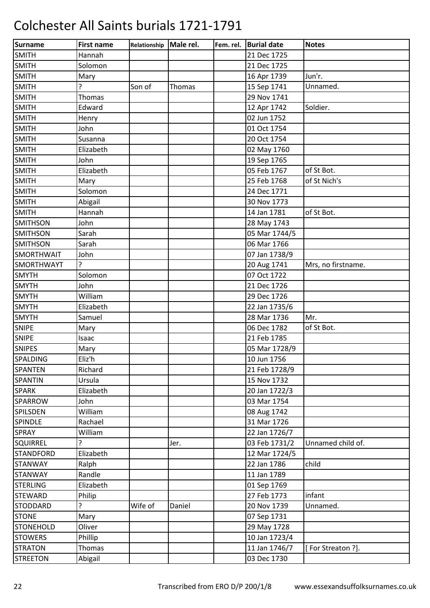| Surname          | <b>First name</b> | Relationship Male rel. |        | Fem. rel. | <b>Burial date</b> | <b>Notes</b>       |
|------------------|-------------------|------------------------|--------|-----------|--------------------|--------------------|
| <b>SMITH</b>     | Hannah            |                        |        |           | 21 Dec 1725        |                    |
| <b>SMITH</b>     | Solomon           |                        |        |           | 21 Dec 1725        |                    |
| <b>SMITH</b>     | Mary              |                        |        |           | 16 Apr 1739        | Jun'r.             |
| <b>SMITH</b>     | ?                 | Son of                 | Thomas |           | 15 Sep 1741        | Unnamed.           |
| <b>SMITH</b>     | <b>Thomas</b>     |                        |        |           | 29 Nov 1741        |                    |
| <b>SMITH</b>     | Edward            |                        |        |           | 12 Apr 1742        | Soldier.           |
| <b>SMITH</b>     | Henry             |                        |        |           | 02 Jun 1752        |                    |
| <b>SMITH</b>     | John              |                        |        |           | 01 Oct 1754        |                    |
| <b>SMITH</b>     | Susanna           |                        |        |           | 20 Oct 1754        |                    |
| <b>SMITH</b>     | Elizabeth         |                        |        |           | 02 May 1760        |                    |
| <b>SMITH</b>     | John              |                        |        |           | 19 Sep 1765        |                    |
| <b>SMITH</b>     | Elizabeth         |                        |        |           | 05 Feb 1767        | of St Bot.         |
| <b>SMITH</b>     | Mary              |                        |        |           | 25 Feb 1768        | of St Nich's       |
| <b>SMITH</b>     | Solomon           |                        |        |           | 24 Dec 1771        |                    |
| <b>SMITH</b>     | Abigail           |                        |        |           | 30 Nov 1773        |                    |
| <b>SMITH</b>     | Hannah            |                        |        |           | 14 Jan 1781        | of St Bot.         |
| <b>SMITHSON</b>  | John              |                        |        |           | 28 May 1743        |                    |
| <b>SMITHSON</b>  | Sarah             |                        |        |           | 05 Mar 1744/5      |                    |
| <b>SMITHSON</b>  | Sarah             |                        |        |           | 06 Mar 1766        |                    |
| SMORTHWAIT       | John              |                        |        |           | 07 Jan 1738/9      |                    |
| SMORTHWAYT       | 5.                |                        |        |           | 20 Aug 1741        | Mrs, no firstname. |
| <b>SMYTH</b>     | Solomon           |                        |        |           | 07 Oct 1722        |                    |
| <b>SMYTH</b>     | John              |                        |        |           | 21 Dec 1726        |                    |
| <b>SMYTH</b>     | William           |                        |        |           | 29 Dec 1726        |                    |
| <b>SMYTH</b>     | Elizabeth         |                        |        |           | 22 Jan 1735/6      |                    |
| <b>SMYTH</b>     | Samuel            |                        |        |           | 28 Mar 1736        | Mr.                |
| <b>SNIPE</b>     | Mary              |                        |        |           | 06 Dec 1782        | of St Bot.         |
| <b>SNIPE</b>     | Isaac             |                        |        |           | 21 Feb 1785        |                    |
| <b>SNIPES</b>    | Mary              |                        |        |           | 05 Mar 1728/9      |                    |
| SPALDING         | Eliz'h            |                        |        |           | 10 Jun 1756        |                    |
| SPANTEN          | Richard           |                        |        |           | 21 Feb 1728/9      |                    |
| <b>SPANTIN</b>   | Ursula            |                        |        |           | 15 Nov 1732        |                    |
| <b>SPARK</b>     | Elizabeth         |                        |        |           | 20 Jan 1722/3      |                    |
| SPARROW          | John              |                        |        |           | 03 Mar 1754        |                    |
| SPILSDEN         | William           |                        |        |           | 08 Aug 1742        |                    |
| SPINDLE          | Rachael           |                        |        |           | 31 Mar 1726        |                    |
| <b>SPRAY</b>     | William           |                        |        |           | 22 Jan 1726/7      |                    |
| <b>SQUIRREL</b>  | 5.                |                        | Jer.   |           | 03 Feb 1731/2      | Unnamed child of.  |
| <b>STANDFORD</b> | Elizabeth         |                        |        |           | 12 Mar 1724/5      |                    |
| <b>STANWAY</b>   | Ralph             |                        |        |           | 22 Jan 1786        | child              |
| <b>STANWAY</b>   | Randle            |                        |        |           | 11 Jan 1789        |                    |
| <b>STERLING</b>  | Elizabeth         |                        |        |           | 01 Sep 1769        |                    |
| <b>STEWARD</b>   | Philip            |                        |        |           | 27 Feb 1773        | infant             |
| <b>STODDARD</b>  | ŗ                 | Wife of                | Daniel |           | 20 Nov 1739        | Unnamed.           |
| <b>STONE</b>     | Mary              |                        |        |           | 07 Sep 1731        |                    |
| <b>STONEHOLD</b> | Oliver            |                        |        |           | 29 May 1728        |                    |
| <b>STOWERS</b>   | Phillip           |                        |        |           | 10 Jan 1723/4      |                    |
| <b>STRATON</b>   | Thomas            |                        |        |           | 11 Jan 1746/7      | [For Streaton ?].  |
| <b>STREETON</b>  | Abigail           |                        |        |           | 03 Dec 1730        |                    |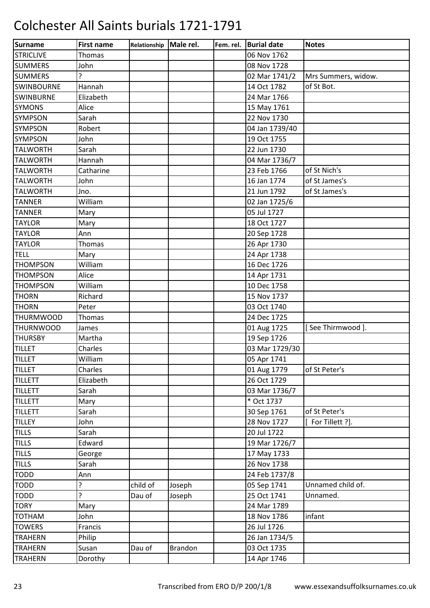| <b>Surname</b>    | <b>First name</b> | Relationship | Male rel.      | Fem. rel. | <b>Burial date</b> | <b>Notes</b>        |
|-------------------|-------------------|--------------|----------------|-----------|--------------------|---------------------|
| <b>STRICLIVE</b>  | Thomas            |              |                |           | 06 Nov 1762        |                     |
| <b>SUMMERS</b>    | John              |              |                |           | 08 Nov 1728        |                     |
| <b>SUMMERS</b>    | ?                 |              |                |           | 02 Mar 1741/2      | Mrs Summers, widow. |
| <b>SWINBOURNE</b> | Hannah            |              |                |           | 14 Oct 1782        | of St Bot.          |
| <b>SWINBURNE</b>  | Elizabeth         |              |                |           | 24 Mar 1766        |                     |
| <b>SYMONS</b>     | Alice             |              |                |           | 15 May 1761        |                     |
| <b>SYMPSON</b>    | Sarah             |              |                |           | 22 Nov 1730        |                     |
| SYMPSON           | Robert            |              |                |           | 04 Jan 1739/40     |                     |
| <b>SYMPSON</b>    | John              |              |                |           | 19 Oct 1755        |                     |
| <b>TALWORTH</b>   | Sarah             |              |                |           | 22 Jun 1730        |                     |
| <b>TALWORTH</b>   | Hannah            |              |                |           | 04 Mar 1736/7      |                     |
| <b>TALWORTH</b>   | Catharine         |              |                |           | 23 Feb 1766        | of St Nich's        |
| <b>TALWORTH</b>   | John              |              |                |           | 16 Jan 1774        | of St James's       |
| <b>TALWORTH</b>   | Jno.              |              |                |           | 21 Jun 1792        | of St James's       |
| <b>TANNER</b>     | William           |              |                |           | 02 Jan 1725/6      |                     |
| <b>TANNER</b>     | Mary              |              |                |           | 05 Jul 1727        |                     |
| <b>TAYLOR</b>     | Mary              |              |                |           | 18 Oct 1727        |                     |
| <b>TAYLOR</b>     | Ann               |              |                |           | 20 Sep 1728        |                     |
| <b>TAYLOR</b>     | Thomas            |              |                |           | 26 Apr 1730        |                     |
| <b>TELL</b>       | Mary              |              |                |           | 24 Apr 1738        |                     |
| <b>THOMPSON</b>   | William           |              |                |           | 16 Dec 1726        |                     |
| <b>THOMPSON</b>   | Alice             |              |                |           | 14 Apr 1731        |                     |
| <b>THOMPSON</b>   | William           |              |                |           | 10 Dec 1758        |                     |
| <b>THORN</b>      | Richard           |              |                |           | 15 Nov 1737        |                     |
| <b>THORN</b>      | Peter             |              |                |           | 03 Oct 1740        |                     |
| <b>THURMWOOD</b>  | Thomas            |              |                |           | 24 Dec 1725        |                     |
| <b>THURNWOOD</b>  | James             |              |                |           | 01 Aug 1725        | [See Thirmwood].    |
| <b>THURSBY</b>    | Martha            |              |                |           | 19 Sep 1726        |                     |
| <b>TILLET</b>     | Charles           |              |                |           | 03 Mar 1729/30     |                     |
| <b>TILLET</b>     | William           |              |                |           | 05 Apr 1741        |                     |
| <b>TILLET</b>     | Charles           |              |                |           | 01 Aug 1779        | of St Peter's       |
| <b>TILLETT</b>    | Elizabeth         |              |                |           | 26 Oct 1729        |                     |
| <b>TILLETT</b>    | Sarah             |              |                |           | 03 Mar 1736/7      |                     |
| <b>TILLETT</b>    | Mary              |              |                |           | * Oct 1737         |                     |
| <b>TILLETT</b>    | Sarah             |              |                |           | 30 Sep 1761        | of St Peter's       |
| <b>TILLEY</b>     | John              |              |                |           | 28 Nov 1727        | [ For Tillett ?].   |
| <b>TILLS</b>      | Sarah             |              |                |           | 20 Jul 1722        |                     |
| <b>TILLS</b>      | Edward            |              |                |           | 19 Mar 1726/7      |                     |
| <b>TILLS</b>      | George            |              |                |           | 17 May 1733        |                     |
| <b>TILLS</b>      | Sarah             |              |                |           | 26 Nov 1738        |                     |
| <b>TODD</b>       | Ann               |              |                |           | 24 Feb 1737/8      |                     |
| <b>TODD</b>       | ?                 | child of     | Joseph         |           | 05 Sep 1741        | Unnamed child of.   |
| <b>TODD</b>       | ?                 | Dau of       | Joseph         |           | 25 Oct 1741        | Unnamed.            |
| <b>TORY</b>       | Mary              |              |                |           | 24 Mar 1789        |                     |
| <b>TOTHAM</b>     | John              |              |                |           | 18 Nov 1786        | infant              |
| <b>TOWERS</b>     | Francis           |              |                |           | 26 Jul 1726        |                     |
| <b>TRAHERN</b>    | Philip            |              |                |           | 26 Jan 1734/5      |                     |
| <b>TRAHERN</b>    | Susan             | Dau of       | <b>Brandon</b> |           | 03 Oct 1735        |                     |
| <b>TRAHERN</b>    | Dorothy           |              |                |           | 14 Apr 1746        |                     |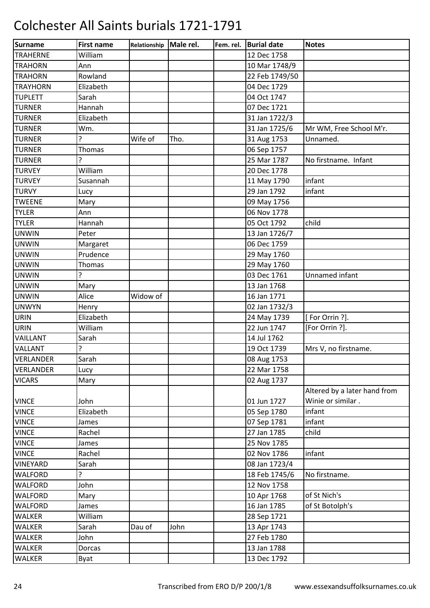| <b>Surname</b>   | <b>First name</b> | Relationship | Male rel. | Fem. rel. | <b>Burial date</b> | <b>Notes</b>                 |
|------------------|-------------------|--------------|-----------|-----------|--------------------|------------------------------|
| <b>TRAHERNE</b>  | William           |              |           |           | 12 Dec 1758        |                              |
| <b>TRAHORN</b>   | Ann               |              |           |           | 10 Mar 1748/9      |                              |
| <b>TRAHORN</b>   | Rowland           |              |           |           | 22 Feb 1749/50     |                              |
| <b>TRAYHORN</b>  | Elizabeth         |              |           |           | 04 Dec 1729        |                              |
| <b>TUPLETT</b>   | Sarah             |              |           |           | 04 Oct 1747        |                              |
| <b>TURNER</b>    | Hannah            |              |           |           | 07 Dec 1721        |                              |
| <b>TURNER</b>    | Elizabeth         |              |           |           | 31 Jan 1722/3      |                              |
| <b>TURNER</b>    | Wm.               |              |           |           | 31 Jan 1725/6      | Mr WM, Free School M'r.      |
| <b>TURNER</b>    | ς                 | Wife of      | Tho.      |           | 31 Aug 1753        | Unnamed.                     |
| <b>TURNER</b>    | <b>Thomas</b>     |              |           |           | 06 Sep 1757        |                              |
| <b>TURNER</b>    | ?                 |              |           |           | 25 Mar 1787        | No firstname. Infant         |
| <b>TURVEY</b>    | William           |              |           |           | 20 Dec 1778        |                              |
| <b>TURVEY</b>    | Susannah          |              |           |           | 11 May 1790        | infant                       |
| <b>TURVY</b>     | Lucy              |              |           |           | 29 Jan 1792        | infant                       |
| <b>TWEENE</b>    | Mary              |              |           |           | 09 May 1756        |                              |
| <b>TYLER</b>     | Ann               |              |           |           | 06 Nov 1778        |                              |
| <b>TYLER</b>     | Hannah            |              |           |           | 05 Oct 1792        | child                        |
| <b>UNWIN</b>     | Peter             |              |           |           | 13 Jan 1726/7      |                              |
| <b>UNWIN</b>     | Margaret          |              |           |           | 06 Dec 1759        |                              |
| <b>UNWIN</b>     | Prudence          |              |           |           | 29 May 1760        |                              |
| <b>UNWIN</b>     | <b>Thomas</b>     |              |           |           | 29 May 1760        |                              |
| <b>UNWIN</b>     | 5                 |              |           |           | 03 Dec 1761        | Unnamed infant               |
| <b>UNWIN</b>     | Mary              |              |           |           | 13 Jan 1768        |                              |
| <b>UNWIN</b>     | Alice             | Widow of     |           |           | 16 Jan 1771        |                              |
| <b>UNWYN</b>     | Henry             |              |           |           | 02 Jan 1732/3      |                              |
| <b>URIN</b>      | Elizabeth         |              |           |           | 24 May 1739        | [For Orrin ?].               |
| <b>URIN</b>      | William           |              |           |           | 22 Jun 1747        | [For Orrin ?].               |
| VAILLANT         | Sarah             |              |           |           | 14 Jul 1762        |                              |
| VALLANT          | ?                 |              |           |           | 19 Oct 1739        | Mrs V, no firstname.         |
| VERLANDER        | Sarah             |              |           |           | 08 Aug 1753        |                              |
| <b>VERLANDER</b> | Lucy              |              |           |           | 22 Mar 1758        |                              |
| <b>VICARS</b>    | Mary              |              |           |           | 02 Aug 1737        |                              |
|                  |                   |              |           |           |                    | Altered by a later hand from |
| <b>VINCE</b>     | John              |              |           |           | 01 Jun 1727        | Winie or similar.            |
| <b>VINCE</b>     | Elizabeth         |              |           |           | 05 Sep 1780        | infant                       |
| <b>VINCE</b>     | James             |              |           |           | 07 Sep 1781        | infant                       |
| <b>VINCE</b>     | Rachel            |              |           |           | 27 Jan 1785        | child                        |
| <b>VINCE</b>     | James             |              |           |           | 25 Nov 1785        |                              |
| <b>VINCE</b>     | Rachel            |              |           |           | 02 Nov 1786        | infant                       |
| VINEYARD         | Sarah             |              |           |           | 08 Jan 1723/4      |                              |
| <b>WALFORD</b>   | ŗ                 |              |           |           | 18 Feb 1745/6      | No firstname.                |
| WALFORD          | John              |              |           |           | 12 Nov 1758        |                              |
| <b>WALFORD</b>   | Mary              |              |           |           | 10 Apr 1768        | of St Nich's                 |
| WALFORD          | James             |              |           |           | 16 Jan 1785        | of St Botolph's              |
| WALKER           | William           |              |           |           | 28 Sep 1721        |                              |
| <b>WALKER</b>    | Sarah             | Dau of       | John      |           | 13 Apr 1743        |                              |
| <b>WALKER</b>    | John              |              |           |           | 27 Feb 1780        |                              |
| <b>WALKER</b>    | Dorcas            |              |           |           | 13 Jan 1788        |                              |
| <b>WALKER</b>    | Byat              |              |           |           | 13 Dec 1792        |                              |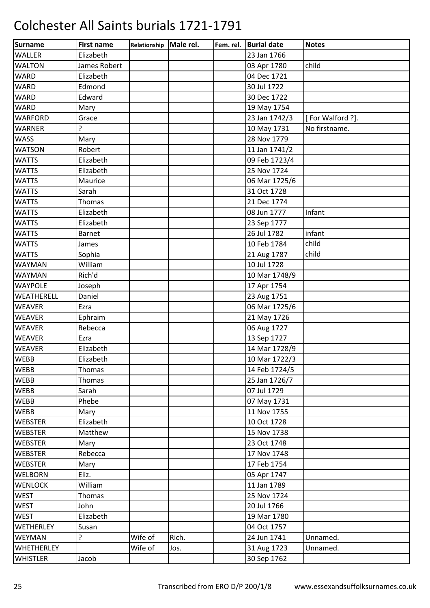| <b>Surname</b>    | <b>First name</b> | Relationship | Male rel. | Fem. rel. | <b>Burial date</b> | <b>Notes</b>     |
|-------------------|-------------------|--------------|-----------|-----------|--------------------|------------------|
| <b>WALLER</b>     | Elizabeth         |              |           |           | 23 Jan 1766        |                  |
| <b>WALTON</b>     | James Robert      |              |           |           | 03 Apr 1780        | child            |
| <b>WARD</b>       | Elizabeth         |              |           |           | 04 Dec 1721        |                  |
| <b>WARD</b>       | Edmond            |              |           |           | 30 Jul 1722        |                  |
| <b>WARD</b>       | Edward            |              |           |           | 30 Dec 1722        |                  |
| <b>WARD</b>       | Mary              |              |           |           | 19 May 1754        |                  |
| <b>WARFORD</b>    | Grace             |              |           |           | 23 Jan 1742/3      | [For Walford ?]. |
| <b>WARNER</b>     | ŗ                 |              |           |           | 10 May 1731        | No firstname.    |
| <b>WASS</b>       | Mary              |              |           |           | 28 Nov 1779        |                  |
| <b>WATSON</b>     | Robert            |              |           |           | 11 Jan 1741/2      |                  |
| <b>WATTS</b>      | Elizabeth         |              |           |           | 09 Feb 1723/4      |                  |
| <b>WATTS</b>      | Elizabeth         |              |           |           | 25 Nov 1724        |                  |
| <b>WATTS</b>      | Maurice           |              |           |           | 06 Mar 1725/6      |                  |
| <b>WATTS</b>      | Sarah             |              |           |           | 31 Oct 1728        |                  |
| <b>WATTS</b>      | <b>Thomas</b>     |              |           |           | 21 Dec 1774        |                  |
| <b>WATTS</b>      | Elizabeth         |              |           |           | 08 Jun 1777        | Infant           |
| <b>WATTS</b>      | Elizabeth         |              |           |           | 23 Sep 1777        |                  |
| <b>WATTS</b>      | <b>Barnet</b>     |              |           |           | 26 Jul 1782        | infant           |
| <b>WATTS</b>      | James             |              |           |           | 10 Feb 1784        | child            |
| <b>WATTS</b>      | Sophia            |              |           |           | 21 Aug 1787        | child            |
| <b>WAYMAN</b>     | William           |              |           |           | 10 Jul 1728        |                  |
| <b>WAYMAN</b>     | Rich'd            |              |           |           | 10 Mar 1748/9      |                  |
| <b>WAYPOLE</b>    | Joseph            |              |           |           | 17 Apr 1754        |                  |
| WEATHERELL        | Daniel            |              |           |           | 23 Aug 1751        |                  |
| <b>WEAVER</b>     | Ezra              |              |           |           | 06 Mar 1725/6      |                  |
| WEAVER            | Ephraim           |              |           |           | 21 May 1726        |                  |
| <b>WEAVER</b>     | Rebecca           |              |           |           | 06 Aug 1727        |                  |
| <b>WEAVER</b>     | Ezra              |              |           |           | 13 Sep 1727        |                  |
| <b>WEAVER</b>     | Elizabeth         |              |           |           | 14 Mar 1728/9      |                  |
| <b>WEBB</b>       | Elizabeth         |              |           |           | 10 Mar 1722/3      |                  |
| <b>WEBB</b>       | Thomas            |              |           |           | 14 Feb 1724/5      |                  |
| <b>WEBB</b>       | Thomas            |              |           |           | 25 Jan 1726/7      |                  |
| WEBB              | Sarah             |              |           |           | 07 Jul 1729        |                  |
| WEBB              | Phebe             |              |           |           | 07 May 1731        |                  |
| WEBB              | Mary              |              |           |           | 11 Nov 1755        |                  |
| <b>WEBSTER</b>    | Elizabeth         |              |           |           | 10 Oct 1728        |                  |
| <b>WEBSTER</b>    | Matthew           |              |           |           | 15 Nov 1738        |                  |
| <b>WEBSTER</b>    | Mary              |              |           |           | 23 Oct 1748        |                  |
| <b>WEBSTER</b>    | Rebecca           |              |           |           | 17 Nov 1748        |                  |
| <b>WEBSTER</b>    | Mary              |              |           |           | 17 Feb 1754        |                  |
| <b>WELBORN</b>    | Eliz.             |              |           |           | 05 Apr 1747        |                  |
| <b>WENLOCK</b>    | William           |              |           |           | 11 Jan 1789        |                  |
| <b>WEST</b>       | Thomas            |              |           |           | 25 Nov 1724        |                  |
| <b>WEST</b>       | John              |              |           |           | 20 Jul 1766        |                  |
| <b>WEST</b>       | Elizabeth         |              |           |           | 19 Mar 1780        |                  |
| WETHERLEY         | Susan             |              |           |           | 04 Oct 1757        |                  |
| WEYMAN            | ŗ                 | Wife of      | Rich.     |           | 24 Jun 1741        | Unnamed.         |
| <b>WHETHERLEY</b> |                   | Wife of      | Jos.      |           | 31 Aug 1723        | Unnamed.         |
| <b>WHISTLER</b>   | Jacob             |              |           |           | 30 Sep 1762        |                  |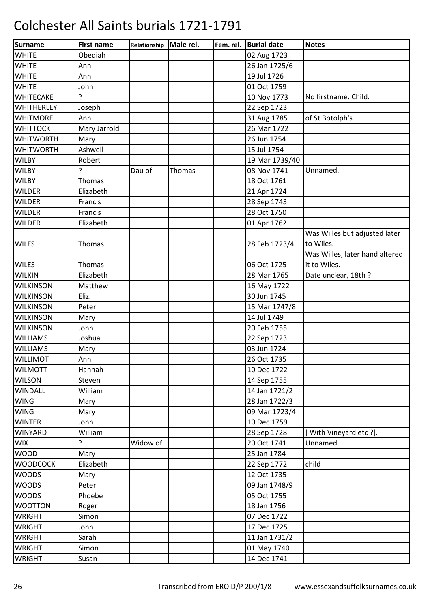| Surname           | <b>First name</b> | Relationship | Male rel. | Fem. rel. | <b>Burial date</b> | <b>Notes</b>                   |
|-------------------|-------------------|--------------|-----------|-----------|--------------------|--------------------------------|
| <b>WHITE</b>      | Obediah           |              |           |           | 02 Aug 1723        |                                |
| <b>WHITE</b>      | Ann               |              |           |           | 26 Jan 1725/6      |                                |
| <b>WHITE</b>      | Ann               |              |           |           | 19 Jul 1726        |                                |
| <b>WHITE</b>      | John              |              |           |           | 01 Oct 1759        |                                |
| WHITECAKE         | 5.                |              |           |           | 10 Nov 1773        | No firstname. Child.           |
| <b>WHITHERLEY</b> | Joseph            |              |           |           | 22 Sep 1723        |                                |
| <b>WHITMORE</b>   | Ann               |              |           |           | 31 Aug 1785        | of St Botolph's                |
| <b>WHITTOCK</b>   | Mary Jarrold      |              |           |           | 26 Mar 1722        |                                |
| <b>WHITWORTH</b>  | Mary              |              |           |           | 26 Jun 1754        |                                |
| <b>WHITWORTH</b>  | Ashwell           |              |           |           | 15 Jul 1754        |                                |
| <b>WILBY</b>      | Robert            |              |           |           | 19 Mar 1739/40     |                                |
| <b>WILBY</b>      | 5                 | Dau of       | Thomas    |           | 08 Nov 1741        | Unnamed.                       |
| <b>WILBY</b>      | Thomas            |              |           |           | 18 Oct 1761        |                                |
| <b>WILDER</b>     | Elizabeth         |              |           |           | 21 Apr 1724        |                                |
| <b>WILDER</b>     | Francis           |              |           |           | 28 Sep 1743        |                                |
| <b>WILDER</b>     | Francis           |              |           |           | 28 Oct 1750        |                                |
| <b>WILDER</b>     | Elizabeth         |              |           |           | 01 Apr 1762        |                                |
|                   |                   |              |           |           |                    | Was Willes but adjusted later  |
| <b>WILES</b>      | Thomas            |              |           |           | 28 Feb 1723/4      | to Wiles.                      |
|                   |                   |              |           |           |                    | Was Willes, later hand altered |
| <b>WILES</b>      | <b>Thomas</b>     |              |           |           | 06 Oct 1725        | it to Wiles.                   |
| <b>WILKIN</b>     | Elizabeth         |              |           |           | 28 Mar 1765        | Date unclear, 18th?            |
| <b>WILKINSON</b>  | Matthew           |              |           |           | 16 May 1722        |                                |
| <b>WILKINSON</b>  | Eliz.             |              |           |           | 30 Jun 1745        |                                |
| <b>WILKINSON</b>  | Peter             |              |           |           | 15 Mar 1747/8      |                                |
| <b>WILKINSON</b>  | Mary              |              |           |           | 14 Jul 1749        |                                |
| <b>WILKINSON</b>  | John              |              |           |           | 20 Feb 1755        |                                |
| <b>WILLIAMS</b>   | Joshua            |              |           |           | 22 Sep 1723        |                                |
| <b>WILLIAMS</b>   | Mary              |              |           |           | 03 Jun 1724        |                                |
| <b>WILLIMOT</b>   | Ann               |              |           |           | 26 Oct 1735        |                                |
| <b>WILMOTT</b>    | Hannah            |              |           |           | 10 Dec 1722        |                                |
| <b>WILSON</b>     | Steven            |              |           |           | 14 Sep 1755        |                                |
| <b>WINDALL</b>    | William           |              |           |           | 14 Jan 1721/2      |                                |
| <b>WING</b>       | Mary              |              |           |           | 28 Jan 1722/3      |                                |
| <b>WING</b>       | Mary              |              |           |           | 09 Mar 1723/4      |                                |
| <b>WINTER</b>     | John              |              |           |           | 10 Dec 1759        |                                |
| <b>WINYARD</b>    | William           |              |           |           | 28 Sep 1728        | [With Vineyard etc ?].         |
| <b>WIX</b>        | ŗ                 | Widow of     |           |           | 20 Oct 1741        | Unnamed.                       |
| <b>WOOD</b>       | Mary              |              |           |           | 25 Jan 1784        |                                |
| <b>WOODCOCK</b>   | Elizabeth         |              |           |           | 22 Sep 1772        | child                          |
| <b>WOODS</b>      | Mary              |              |           |           | 12 Oct 1735        |                                |
| <b>WOODS</b>      | Peter             |              |           |           | 09 Jan 1748/9      |                                |
| <b>WOODS</b>      | Phoebe            |              |           |           | 05 Oct 1755        |                                |
| <b>WOOTTON</b>    | Roger             |              |           |           | 18 Jan 1756        |                                |
| <b>WRIGHT</b>     | Simon             |              |           |           | 07 Dec 1722        |                                |
| <b>WRIGHT</b>     | John              |              |           |           | 17 Dec 1725        |                                |
| <b>WRIGHT</b>     | Sarah             |              |           |           | 11 Jan 1731/2      |                                |
| <b>WRIGHT</b>     | Simon             |              |           |           | 01 May 1740        |                                |
| <b>WRIGHT</b>     | Susan             |              |           |           | 14 Dec 1741        |                                |